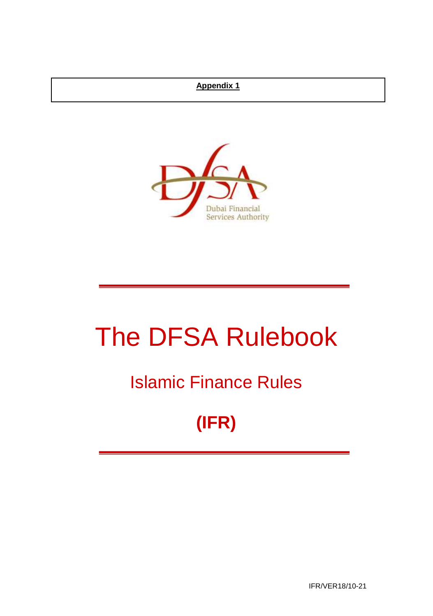## **Appendix 1**



# The DFSA Rulebook

## Islamic Finance Rules

## **(IFR)**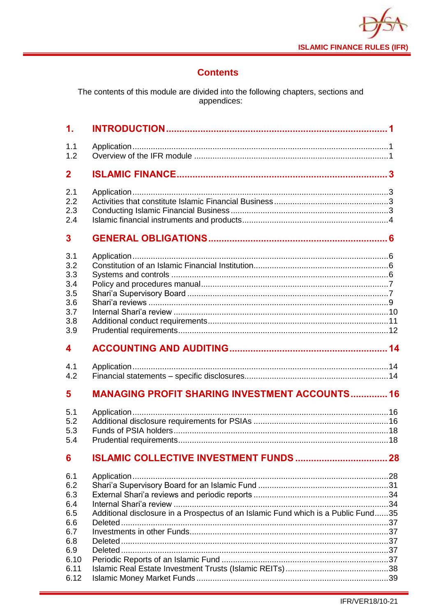

## **Contents**

The contents of this module are divided into the following chapters, sections and<br>appendices:

| $\mathbf 1$ .                                               |                                                       |  |
|-------------------------------------------------------------|-------------------------------------------------------|--|
| 1.1<br>1.2                                                  |                                                       |  |
| $\mathbf{2}$                                                |                                                       |  |
| 2.1<br>2.2<br>2.3<br>2.4                                    |                                                       |  |
| 3                                                           |                                                       |  |
| 3.1<br>3.2<br>3.3<br>3.4<br>3.5<br>3.6<br>3.7<br>3.8<br>3.9 |                                                       |  |
| 4                                                           |                                                       |  |
| 4.1<br>4.2                                                  |                                                       |  |
| 5                                                           | <b>MANAGING PROFIT SHARING INVESTMENT ACCOUNTS 16</b> |  |
| 5.1                                                         |                                                       |  |
| 5.2<br>5.3<br>5.4                                           |                                                       |  |
| 6                                                           |                                                       |  |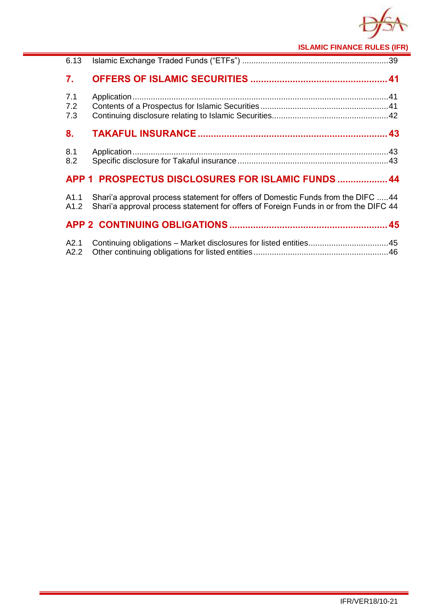

**ISLAMIC FINANCE RULES (IFR)**

| 6.13              |                                                                                                                                                                           |  |
|-------------------|---------------------------------------------------------------------------------------------------------------------------------------------------------------------------|--|
| 7.                |                                                                                                                                                                           |  |
| 7.1<br>7.2<br>7.3 |                                                                                                                                                                           |  |
| 8.                |                                                                                                                                                                           |  |
| 8.1<br>8.2        |                                                                                                                                                                           |  |
|                   | APP 1 PROSPECTUS DISCLOSURES FOR ISLAMIC FUNDS  44                                                                                                                        |  |
| A1.1<br>A1.2      | Shari'a approval process statement for offers of Domestic Funds from the DIFC 44<br>Shari'a approval process statement for offers of Foreign Funds in or from the DIFC 44 |  |
|                   |                                                                                                                                                                           |  |
| A2.1<br>A2.2      | Continuing obligations - Market disclosures for listed entities45                                                                                                         |  |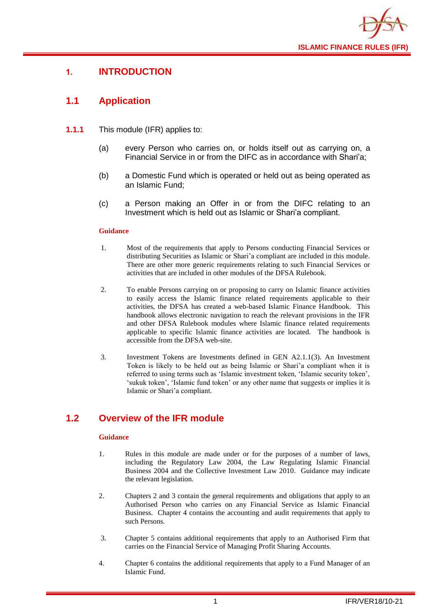

## <span id="page-3-0"></span>**1. INTRODUCTION**

## <span id="page-3-1"></span>**1.1 Application**

- **1.1.1** This module (IFR) applies to:
	- (a) every Person who carries on, or holds itself out as carrying on, a Financial Service in or from the DIFC as in accordance with Shari'a;
	- (b) a Domestic Fund which is operated or held out as being operated as an Islamic Fund;
	- (c) a Person making an Offer in or from the DIFC relating to an Investment which is held out as Islamic or Shari'a compliant.

#### **Guidance**

- 1. Most of the requirements that apply to Persons conducting Financial Services or distributing Securities as Islamic or Shari'a compliant are included in this module. There are other more generic requirements relating to such Financial Services or activities that are included in other modules of the DFSA Rulebook.
- 2. To enable Persons carrying on or proposing to carry on Islamic finance activities to easily access the Islamic finance related requirements applicable to their activities, the DFSA has created a web-based Islamic Finance Handbook. This handbook allows electronic navigation to reach the relevant provisions in the IFR and other DFSA Rulebook modules where Islamic finance related requirements applicable to specific Islamic finance activities are located. The handbook is accessible from the DFSA web-site.
- 3. Investment Tokens are Investments defined in GEN A2.1.1(3). An Investment Token is likely to be held out as being Islamic or Shari'a compliant when it is referred to using terms such as 'Islamic investment token, 'Islamic security token', 'sukuk token', 'Islamic fund token' or any other name that suggests or implies it is Islamic or Shari'a compliant.

## <span id="page-3-2"></span>**1.2 Overview of the IFR module**

- 1. Rules in this module are made under or for the purposes of a number of laws, including the Regulatory Law 2004, the Law Regulating Islamic Financial Business 2004 and the Collective Investment Law 2010. Guidance may indicate the relevant legislation.
- 2. Chapters 2 and 3 contain the general requirements and obligations that apply to an Authorised Person who carries on any Financial Service as Islamic Financial Business. Chapter 4 contains the accounting and audit requirements that apply to such Persons.
- 3. Chapter 5 contains additional requirements that apply to an Authorised Firm that carries on the Financial Service of Managing Profit Sharing Accounts.
- 4. Chapter 6 contains the additional requirements that apply to a Fund Manager of an Islamic Fund.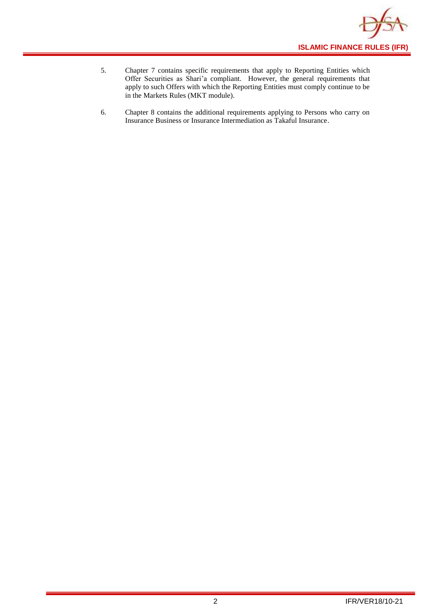

- 5. Chapter 7 contains specific requirements that apply to Reporting Entities which Offer Securities as Shari'a compliant. However, the general requirements that apply to such Offers with which the Reporting Entities must comply continue to be in the Markets Rules (MKT module).
- 6. Chapter 8 contains the additional requirements applying to Persons who carry on Insurance Business or Insurance Intermediation as Takaful Insurance.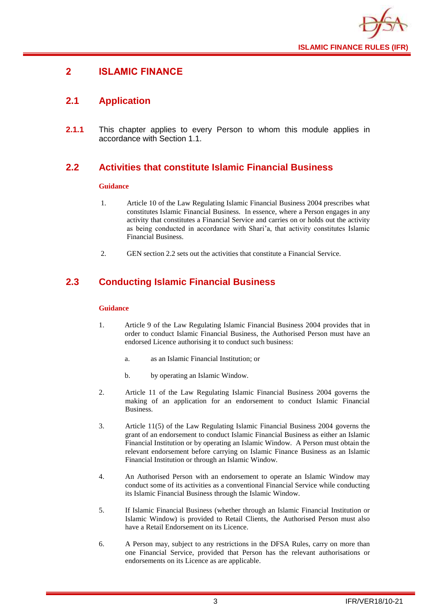

## <span id="page-5-0"></span>**2 ISLAMIC FINANCE**

## <span id="page-5-1"></span>**2.1 Application**

**2.1.1** This chapter applies to every Person to whom this module applies in accordance with Section 1.1.

## <span id="page-5-2"></span>**2.2 Activities that constitute Islamic Financial Business**

#### **Guidance**

- 1. Article 10 of the Law Regulating Islamic Financial Business 2004 prescribes what constitutes Islamic Financial Business. In essence, where a Person engages in any activity that constitutes a Financial Service and carries on or holds out the activity as being conducted in accordance with Shari'a, that activity constitutes Islamic Financial Business.
- 2. GEN section 2.2 sets out the activities that constitute a Financial Service.

## <span id="page-5-3"></span>**2.3 Conducting Islamic Financial Business**

- 1. Article 9 of the Law Regulating Islamic Financial Business 2004 provides that in order to conduct Islamic Financial Business, the Authorised Person must have an endorsed Licence authorising it to conduct such business:
	- a. as an Islamic Financial Institution; or
	- b. by operating an Islamic Window.
- 2. Article 11 of the Law Regulating Islamic Financial Business 2004 governs the making of an application for an endorsement to conduct Islamic Financial Business.
- 3. Article 11(5) of the Law Regulating Islamic Financial Business 2004 governs the grant of an endorsement to conduct Islamic Financial Business as either an Islamic Financial Institution or by operating an Islamic Window. A Person must obtain the relevant endorsement before carrying on Islamic Finance Business as an Islamic Financial Institution or through an Islamic Window.
- 4. An Authorised Person with an endorsement to operate an Islamic Window may conduct some of its activities as a conventional Financial Service while conducting its Islamic Financial Business through the Islamic Window.
- 5. If Islamic Financial Business (whether through an Islamic Financial Institution or Islamic Window) is provided to Retail Clients, the Authorised Person must also have a Retail Endorsement on its Licence.
- 6. A Person may, subject to any restrictions in the DFSA Rules, carry on more than one Financial Service, provided that Person has the relevant authorisations or endorsements on its Licence as are applicable.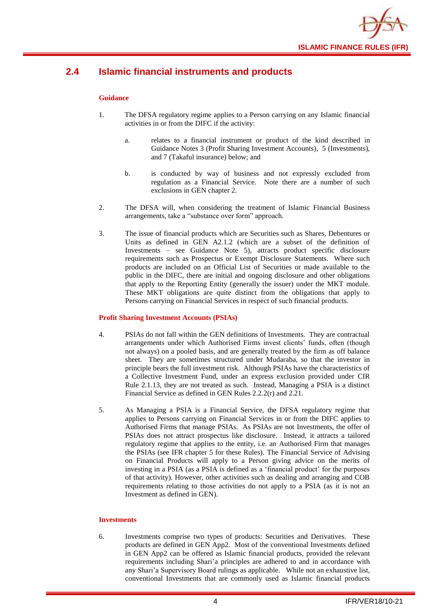

## <span id="page-6-0"></span>**2.4 Islamic financial instruments and products**

#### **Guidance**

- 1. The DFSA regulatory regime applies to a Person carrying on any Islamic financial activities in or from the DIFC if the activity:
	- a. relates to a financial instrument or product of the kind described in Guidance Notes 3 (Profit Sharing Investment Accounts), 5 (Investments), and 7 (Takaful insurance) below; and
	- b. is conducted by way of business and not expressly excluded from regulation as a Financial Service. Note there are a number of such exclusions in GEN chapter 2.
- 2. The DFSA will, when considering the treatment of Islamic Financial Business arrangements, take a "substance over form" approach.
- 3. The issue of financial products which are Securities such as Shares, Debentures or Units as defined in GEN A2.1.2 (which are a subset of the definition of Investments – see Guidance Note 5), attracts product specific disclosure requirements such as Prospectus or Exempt Disclosure Statements. Where such products are included on an Official List of Securities or made available to the public in the DIFC, there are initial and ongoing disclosure and other obligations that apply to the Reporting Entity (generally the issuer) under the MKT module. These MKT obligations are quite distinct from the obligations that apply to Persons carrying on Financial Services in respect of such financial products.

#### **Profit Sharing Investment Accounts (PSIAs)**

- 4. PSIAs do not fall within the GEN definitions of Investments. They are contractual arrangements under which Authorised Firms invest clients' funds, often (though not always) on a pooled basis, and are generally treated by the firm as off balance sheet. They are sometimes structured under Mudaraba, so that the investor in principle bears the full investment risk. Although PSIAs have the characteristics of a Collective Investment Fund, under an express exclusion provided under CIR Rule 2.1.13, they are not treated as such. Instead, Managing a PSIA is a distinct Financial Service as defined in GEN Rules 2.2.2(r) and 2.21.
- 5. As Managing a PSIA is a Financial Service, the DFSA regulatory regime that applies to Persons carrying on Financial Services in or from the DIFC applies to Authorised Firms that manage PSIAs. As PSIAs are not Investments, the offer of PSIAs does not attract prospectus like disclosure. Instead, it attracts a tailored regulatory regime that applies to the entity, i.e. an Authorised Firm that manages the PSIAs (see IFR chapter 5 for these Rules). The Financial Service of Advising on Financial Products will apply to a Person giving advice on the merits of investing in a PSIA (as a PSIA is defined as a 'financial product' for the purposes of that activity). However, other activities such as dealing and arranging and COB requirements relating to those activities do not apply to a PSIA (as it is not an Investment as defined in GEN).

#### **Investments**

6. Investments comprise two types of products: Securities and Derivatives. These products are defined in GEN App2. Most of the conventional Investments defined in GEN App2 can be offered as Islamic financial products, provided the relevant requirements including Shari'a principles are adhered to and in accordance with any Shari'a Supervisory Board rulings as applicable. While not an exhaustive list, conventional Investments that are commonly used as Islamic financial products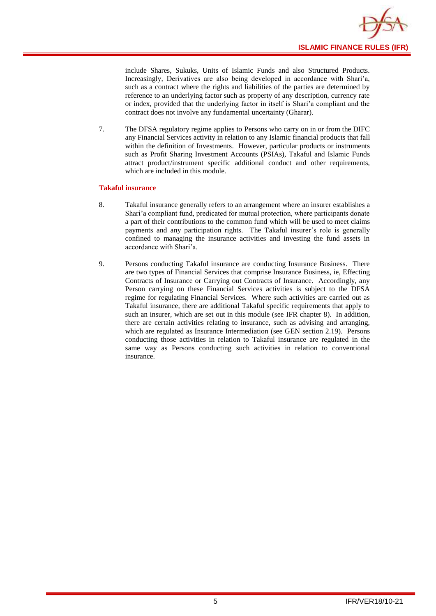

include Shares, Sukuks, Units of Islamic Funds and also Structured Products. Increasingly, Derivatives are also being developed in accordance with Shari'a, such as a contract where the rights and liabilities of the parties are determined by reference to an underlying factor such as property of any description, currency rate or index, provided that the underlying factor in itself is Shari'a compliant and the contract does not involve any fundamental uncertainty (Gharar).

7. The DFSA regulatory regime applies to Persons who carry on in or from the DIFC any Financial Services activity in relation to any Islamic financial products that fall within the definition of Investments. However, particular products or instruments such as Profit Sharing Investment Accounts (PSIAs), Takaful and Islamic Funds attract product/instrument specific additional conduct and other requirements, which are included in this module.

#### **Takaful insurance**

- 8. Takaful insurance generally refers to an arrangement where an insurer establishes a Shari'a compliant fund, predicated for mutual protection, where participants donate a part of their contributions to the common fund which will be used to meet claims payments and any participation rights. The Takaful insurer's role is generally confined to managing the insurance activities and investing the fund assets in accordance with Shari'a.
- 9. Persons conducting Takaful insurance are conducting Insurance Business. There are two types of Financial Services that comprise Insurance Business, ie, Effecting Contracts of Insurance or Carrying out Contracts of Insurance. Accordingly, any Person carrying on these Financial Services activities is subject to the DFSA regime for regulating Financial Services. Where such activities are carried out as Takaful insurance, there are additional Takaful specific requirements that apply to such an insurer, which are set out in this module (see IFR chapter 8). In addition, there are certain activities relating to insurance, such as advising and arranging, which are regulated as Insurance Intermediation (see GEN section 2.19). Persons conducting those activities in relation to Takaful insurance are regulated in the same way as Persons conducting such activities in relation to conventional insurance.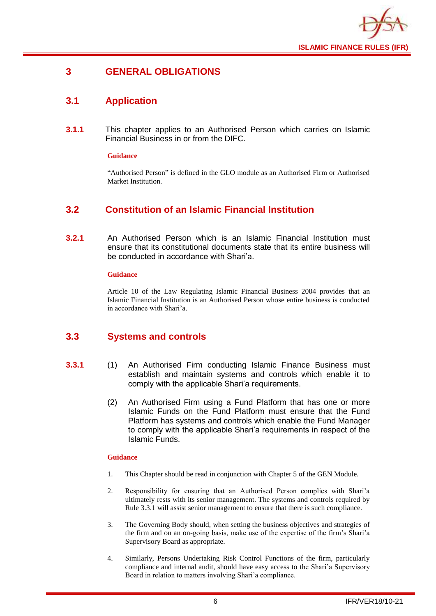

## <span id="page-8-0"></span>**3 GENERAL OBLIGATIONS**

## <span id="page-8-1"></span>**3.1 Application**

**3.1.1** This chapter applies to an Authorised Person which carries on Islamic Financial Business in or from the DIFC.

#### **Guidance**

"Authorised Person" is defined in the GLO module as an Authorised Firm or Authorised Market Institution.

## <span id="page-8-2"></span>**3.2 Constitution of an Islamic Financial Institution**

**3.2.1** An Authorised Person which is an Islamic Financial Institution must ensure that its constitutional documents state that its entire business will be conducted in accordance with Shari'a.

#### **Guidance**

Article 10 of the Law Regulating Islamic Financial Business 2004 provides that an Islamic Financial Institution is an Authorised Person whose entire business is conducted in accordance with Shari'a.

## <span id="page-8-3"></span>**3.3 Systems and controls**

- **3.3.1** (1) An Authorised Firm conducting Islamic Finance Business must establish and maintain systems and controls which enable it to comply with the applicable Shari'a requirements.
	- (2) An Authorised Firm using a Fund Platform that has one or more Islamic Funds on the Fund Platform must ensure that the Fund Platform has systems and controls which enable the Fund Manager to comply with the applicable Shari'a requirements in respect of the Islamic Funds.

- 1. This Chapter should be read in conjunction with Chapter 5 of the GEN Module.
- 2. Responsibility for ensuring that an Authorised Person complies with Shari'a ultimately rests with its senior management. The systems and controls required by Rule 3.3.1 will assist senior management to ensure that there is such compliance.
- 3. The Governing Body should, when setting the business objectives and strategies of the firm and on an on-going basis, make use of the expertise of the firm's Shari'a Supervisory Board as appropriate.
- 4. Similarly, Persons Undertaking Risk Control Functions of the firm, particularly compliance and internal audit, should have easy access to the Shari'a Supervisory Board in relation to matters involving Shari'a compliance.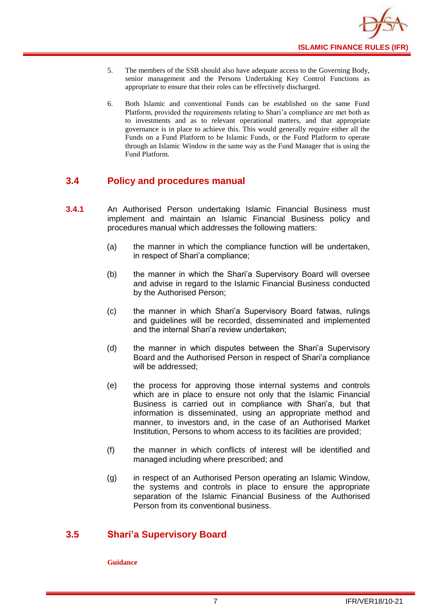

- 5. The members of the SSB should also have adequate access to the Governing Body, senior management and the Persons Undertaking Key Control Functions as appropriate to ensure that their roles can be effectively discharged.
- 6. Both Islamic and conventional Funds can be established on the same Fund Platform, provided the requirements relating to Shari'a compliance are met both as to investments and as to relevant operational matters, and that appropriate governance is in place to achieve this. This would generally require either all the Funds on a Fund Platform to be Islamic Funds, or the Fund Platform to operate through an Islamic Window in the same way as the Fund Manager that is using the Fund Platform.

## <span id="page-9-0"></span>**3.4 Policy and procedures manual**

- **3.4.1** An Authorised Person undertaking Islamic Financial Business must implement and maintain an Islamic Financial Business policy and procedures manual which addresses the following matters:
	- (a) the manner in which the compliance function will be undertaken, in respect of Shari'a compliance;
	- (b) the manner in which the Shari'a Supervisory Board will oversee and advise in regard to the Islamic Financial Business conducted by the Authorised Person;
	- (c) the manner in which Shari'a Supervisory Board fatwas, rulings and guidelines will be recorded, disseminated and implemented and the internal Shari'a review undertaken;
	- (d) the manner in which disputes between the Shari'a Supervisory Board and the Authorised Person in respect of Shari'a compliance will be addressed;
	- (e) the process for approving those internal systems and controls which are in place to ensure not only that the Islamic Financial Business is carried out in compliance with Shari'a, but that information is disseminated, using an appropriate method and manner, to investors and, in the case of an Authorised Market Institution, Persons to whom access to its facilities are provided;
	- (f) the manner in which conflicts of interest will be identified and managed including where prescribed; and
	- (g) in respect of an Authorised Person operating an Islamic Window, the systems and controls in place to ensure the appropriate separation of the Islamic Financial Business of the Authorised Person from its conventional business.

## <span id="page-9-1"></span>**3.5 Shari'a Supervisory Board**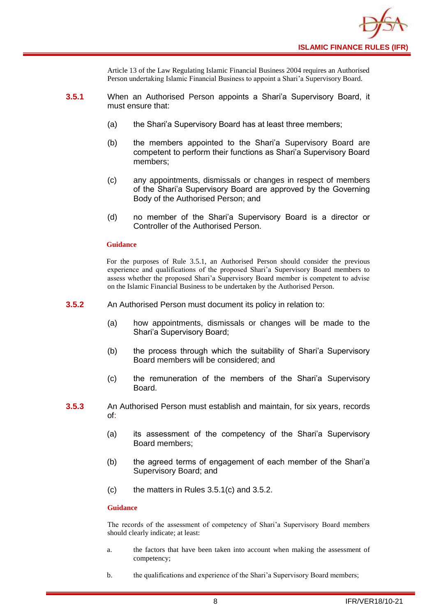

Article 13 of the Law Regulating Islamic Financial Business 2004 requires an Authorised Person undertaking Islamic Financial Business to appoint a Shari'a Supervisory Board.

- **3.5.1** When an Authorised Person appoints a Shari'a Supervisory Board, it must ensure that:
	- (a) the Shari'a Supervisory Board has at least three members;
	- (b) the members appointed to the Shari'a Supervisory Board are competent to perform their functions as Shari'a Supervisory Board members;
	- (c) any appointments, dismissals or changes in respect of members of the Shari'a Supervisory Board are approved by the Governing Body of the Authorised Person; and
	- (d) no member of the Shari'a Supervisory Board is a director or Controller of the Authorised Person.

#### **Guidance**

For the purposes of Rule 3.5.1, an Authorised Person should consider the previous experience and qualifications of the proposed Shari'a Supervisory Board members to assess whether the proposed Shari'a Supervisory Board member is competent to advise on the Islamic Financial Business to be undertaken by the Authorised Person.

- **3.5.2** An Authorised Person must document its policy in relation to:
	- (a) how appointments, dismissals or changes will be made to the Shari'a Supervisory Board;
	- (b) the process through which the suitability of Shari'a Supervisory Board members will be considered; and
	- (c) the remuneration of the members of the Shari'a Supervisory Board.
- **3.5.3** An Authorised Person must establish and maintain, for six years, records of:
	- (a) its assessment of the competency of the Shari'a Supervisory Board members;
	- (b) the agreed terms of engagement of each member of the Shari'a Supervisory Board; and
	- (c) the matters in Rules 3.5.1(c) and 3.5.2.

#### **Guidance**

The records of the assessment of competency of Shari'a Supervisory Board members should clearly indicate; at least:

- a. the factors that have been taken into account when making the assessment of competency;
- b. the qualifications and experience of the Shari'a Supervisory Board members;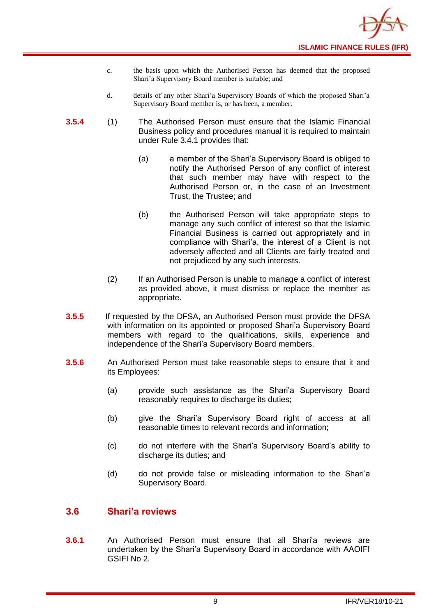- c. the basis upon which the Authorised Person has deemed that the proposed Shari'a Supervisory Board member is suitable; and
- d. details of any other Shari'a Supervisory Boards of which the proposed Shari'a Supervisory Board member is, or has been, a member.
- **3.5.4** (1) The Authorised Person must ensure that the Islamic Financial Business policy and procedures manual it is required to maintain under Rule 3.4.1 provides that:
	- (a) a member of the Shari'a Supervisory Board is obliged to notify the Authorised Person of any conflict of interest that such member may have with respect to the Authorised Person or, in the case of an Investment Trust, the Trustee; and
	- (b) the Authorised Person will take appropriate steps to manage any such conflict of interest so that the Islamic Financial Business is carried out appropriately and in compliance with Shari'a, the interest of a Client is not adversely affected and all Clients are fairly treated and not prejudiced by any such interests.
	- (2) If an Authorised Person is unable to manage a conflict of interest as provided above, it must dismiss or replace the member as appropriate.
- **3.5.5** If requested by the DFSA, an Authorised Person must provide the DFSA with information on its appointed or proposed Shari'a Supervisory Board members with regard to the qualifications, skills, experience and independence of the Shari'a Supervisory Board members.
- **3.5.6** An Authorised Person must take reasonable steps to ensure that it and its Employees:
	- (a) provide such assistance as the Shari'a Supervisory Board reasonably requires to discharge its duties;
	- (b) give the Shari'a Supervisory Board right of access at all reasonable times to relevant records and information;
	- (c) do not interfere with the Shari'a Supervisory Board's ability to discharge its duties; and
	- (d) do not provide false or misleading information to the Shari'a Supervisory Board.

## <span id="page-11-0"></span>**3.6 Shari'a reviews**

**3.6.1** An Authorised Person must ensure that all Shari'a reviews are undertaken by the Shari'a Supervisory Board in accordance with AAOIFI GSIFI No 2.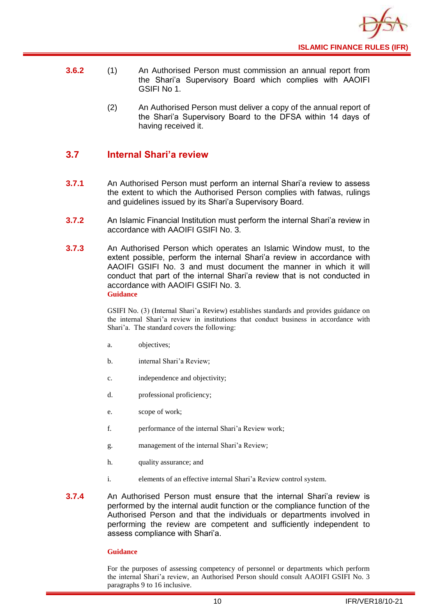

- **3.6.2** (1) An Authorised Person must commission an annual report from the Shari'a Supervisory Board which complies with AAOIFI GSIFI No 1.
	- (2) An Authorised Person must deliver a copy of the annual report of the Shari'a Supervisory Board to the DFSA within 14 days of having received it.

## <span id="page-12-0"></span>**3.7 Internal Shari'a review**

- **3.7.1** An Authorised Person must perform an internal Shari'a review to assess the extent to which the Authorised Person complies with fatwas, rulings and guidelines issued by its Shari'a Supervisory Board.
- **3.7.2** An Islamic Financial Institution must perform the internal Shari'a review in accordance with AAOIFI GSIFI No. 3.
- **3.7.3** An Authorised Person which operates an Islamic Window must, to the extent possible, perform the internal Shari'a review in accordance with AAOIFI GSIFI No. 3 and must document the manner in which it will conduct that part of the internal Shari'a review that is not conducted in accordance with AAOIFI GSIFI No. 3. **Guidance**

GSIFI No. (3) (Internal Shari'a Review) establishes standards and provides guidance on the internal Shari'a review in institutions that conduct business in accordance with Shari'a. The standard covers the following:

- a. objectives;
- b. internal Shari'a Review;
- c. independence and objectivity;
- d. professional proficiency;
- e. scope of work;
- f. performance of the internal Shari'a Review work;
- g. management of the internal Shari'a Review;
- h. quality assurance; and
- i. elements of an effective internal Shari'a Review control system.
- **3.7.4** An Authorised Person must ensure that the internal Shari'a review is performed by the internal audit function or the compliance function of the Authorised Person and that the individuals or departments involved in performing the review are competent and sufficiently independent to assess compliance with Shari'a.

#### **Guidance**

For the purposes of assessing competency of personnel or departments which perform the internal Shari'a review, an Authorised Person should consult AAOIFI GSIFI No. 3 paragraphs 9 to 16 inclusive.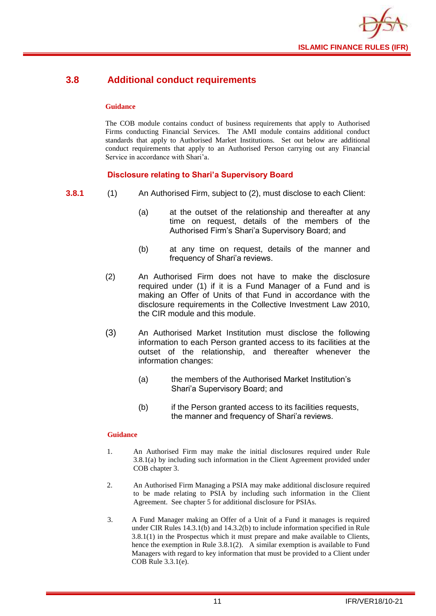

## <span id="page-13-0"></span>**3.8 Additional conduct requirements**

#### **Guidance**

The COB module contains conduct of business requirements that apply to Authorised Firms conducting Financial Services. The AMI module contains additional conduct standards that apply to Authorised Market Institutions. Set out below are additional conduct requirements that apply to an Authorised Person carrying out any Financial Service in accordance with Shari'a.

## **Disclosure relating to Shari'a Supervisory Board**

- **3.8.1** (1) An Authorised Firm, subject to (2), must disclose to each Client:
	- (a) at the outset of the relationship and thereafter at any time on request, details of the members of the Authorised Firm's Shari'a Supervisory Board; and
	- (b) at any time on request, details of the manner and frequency of Shari'a reviews.
	- (2) An Authorised Firm does not have to make the disclosure required under (1) if it is a Fund Manager of a Fund and is making an Offer of Units of that Fund in accordance with the disclosure requirements in the Collective Investment Law 2010, the CIR module and this module.
	- (3) An Authorised Market Institution must disclose the following information to each Person granted access to its facilities at the outset of the relationship, and thereafter whenever the information changes:
		- (a) the members of the Authorised Market Institution's Shari'a Supervisory Board; and
		- (b) if the Person granted access to its facilities requests, the manner and frequency of Shari'a reviews.

- 1. An Authorised Firm may make the initial disclosures required under Rule 3.8.1(a) by including such information in the Client Agreement provided under COB chapter 3.
- 2. An Authorised Firm Managing a PSIA may make additional disclosure required to be made relating to PSIA by including such information in the Client Agreement. See chapter 5 for additional disclosure for PSIAs.
- 3. A Fund Manager making an Offer of a Unit of a Fund it manages is required under CIR Rules 14.3.1(b) and 14.3.2(b) to include information specified in Rule 3.8.1(1) in the Prospectus which it must prepare and make available to Clients, hence the exemption in Rule 3.8.1(2). A similar exemption is available to Fund Managers with regard to key information that must be provided to a Client under COB Rule 3.3.1(e).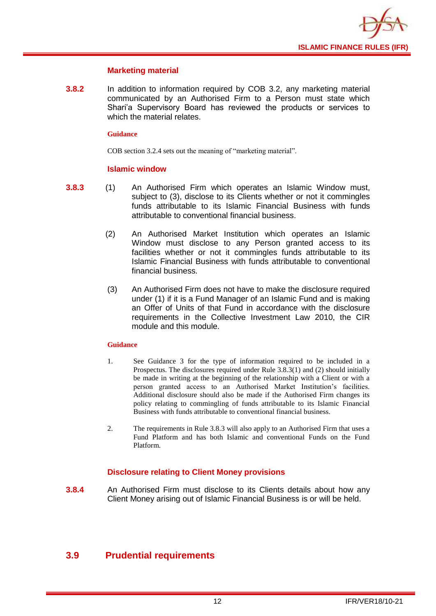

#### **Marketing material**

**3.8.2** In addition to information required by COB 3.2, any marketing material communicated by an Authorised Firm to a Person must state which Shari'a Supervisory Board has reviewed the products or services to which the material relates.

#### **Guidance**

COB section 3.2.4 sets out the meaning of "marketing material".

#### **Islamic window**

- **3.8.3** (1) An Authorised Firm which operates an Islamic Window must, subject to (3), disclose to its Clients whether or not it commingles funds attributable to its Islamic Financial Business with funds attributable to conventional financial business.
	- (2) An Authorised Market Institution which operates an Islamic Window must disclose to any Person granted access to its facilities whether or not it commingles funds attributable to its Islamic Financial Business with funds attributable to conventional financial business.
	- (3) An Authorised Firm does not have to make the disclosure required under (1) if it is a Fund Manager of an Islamic Fund and is making an Offer of Units of that Fund in accordance with the disclosure requirements in the Collective Investment Law 2010, the CIR module and this module.

#### **Guidance**

- 1. See Guidance 3 for the type of information required to be included in a Prospectus. The disclosures required under Rule 3.8.3(1) and (2) should initially be made in writing at the beginning of the relationship with a Client or with a person granted access to an Authorised Market Institution's facilities. Additional disclosure should also be made if the Authorised Firm changes its policy relating to commingling of funds attributable to its Islamic Financial Business with funds attributable to conventional financial business.
- 2. The requirements in Rule 3.8.3 will also apply to an Authorised Firm that uses a Fund Platform and has both Islamic and conventional Funds on the Fund Platform.

## **Disclosure relating to Client Money provisions**

**3.8.4** An Authorised Firm must disclose to its Clients details about how any Client Money arising out of Islamic Financial Business is or will be held.

## <span id="page-14-0"></span>**3.9 Prudential requirements**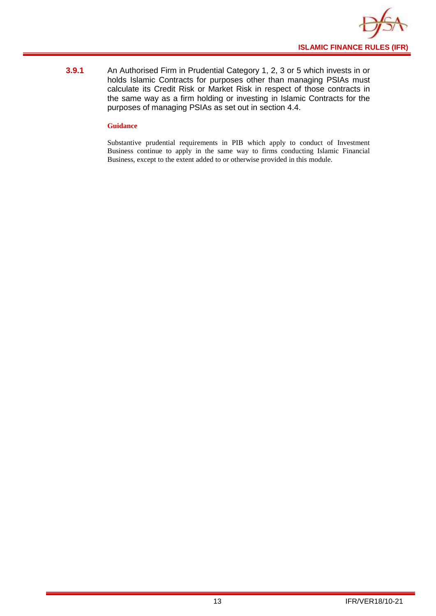

**3.9.1** An Authorised Firm in Prudential Category 1, 2, 3 or 5 which invests in or holds Islamic Contracts for purposes other than managing PSIAs must calculate its Credit Risk or Market Risk in respect of those contracts in the same way as a firm holding or investing in Islamic Contracts for the purposes of managing PSIAs as set out in section 4.4.

#### **Guidance**

Substantive prudential requirements in PIB which apply to conduct of Investment Business continue to apply in the same way to firms conducting Islamic Financial Business, except to the extent added to or otherwise provided in this module.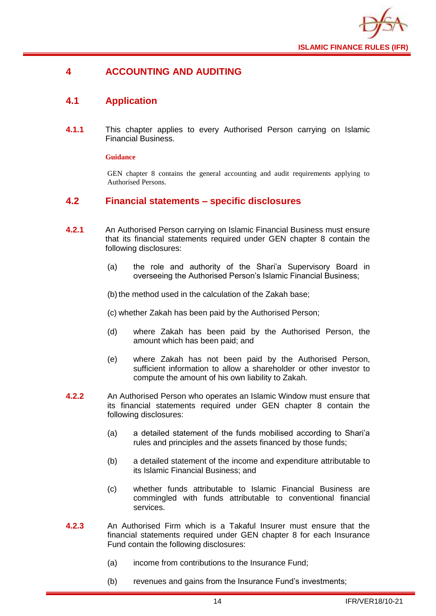

## <span id="page-16-0"></span>**4 ACCOUNTING AND AUDITING**

## <span id="page-16-1"></span>**4.1 Application**

**4.1.1** This chapter applies to every Authorised Person carrying on Islamic Financial Business.

#### **Guidance**

GEN chapter 8 contains the general accounting and audit requirements applying to Authorised Persons.

#### <span id="page-16-2"></span>**4.2 Financial statements – specific disclosures**

- **4.2.1** An Authorised Person carrying on Islamic Financial Business must ensure that its financial statements required under GEN chapter 8 contain the following disclosures:
	- (a) the role and authority of the Shari'a Supervisory Board in overseeing the Authorised Person's Islamic Financial Business;

(b) the method used in the calculation of the Zakah base;

(c) whether Zakah has been paid by the Authorised Person;

- (d) where Zakah has been paid by the Authorised Person, the amount which has been paid; and
- (e) where Zakah has not been paid by the Authorised Person, sufficient information to allow a shareholder or other investor to compute the amount of his own liability to Zakah.
- **4.2.2** An Authorised Person who operates an Islamic Window must ensure that its financial statements required under GEN chapter 8 contain the following disclosures:
	- (a) a detailed statement of the funds mobilised according to Shari'a rules and principles and the assets financed by those funds;
	- (b) a detailed statement of the income and expenditure attributable to its Islamic Financial Business; and
	- (c) whether funds attributable to Islamic Financial Business are commingled with funds attributable to conventional financial services.
- **4.2.3** An Authorised Firm which is a Takaful Insurer must ensure that the financial statements required under GEN chapter 8 for each Insurance Fund contain the following disclosures:
	- (a) income from contributions to the Insurance Fund;
	- (b) revenues and gains from the Insurance Fund's investments;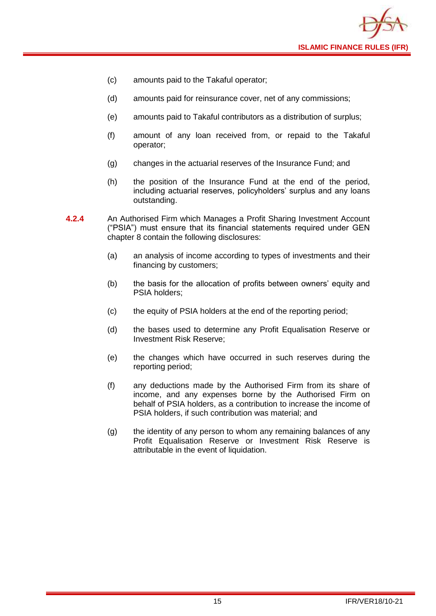

- (c) amounts paid to the Takaful operator;
- (d) amounts paid for reinsurance cover, net of any commissions;
- (e) amounts paid to Takaful contributors as a distribution of surplus;
- (f) amount of any loan received from, or repaid to the Takaful operator;
- (g) changes in the actuarial reserves of the Insurance Fund; and
- (h) the position of the Insurance Fund at the end of the period, including actuarial reserves, policyholders' surplus and any loans outstanding.
- **4.2.4** An Authorised Firm which Manages a Profit Sharing Investment Account ("PSIA") must ensure that its financial statements required under GEN chapter 8 contain the following disclosures:
	- (a) an analysis of income according to types of investments and their financing by customers;
	- (b) the basis for the allocation of profits between owners' equity and PSIA holders;
	- (c) the equity of PSIA holders at the end of the reporting period;
	- (d) the bases used to determine any Profit Equalisation Reserve or Investment Risk Reserve;
	- (e) the changes which have occurred in such reserves during the reporting period;
	- (f) any deductions made by the Authorised Firm from its share of income, and any expenses borne by the Authorised Firm on behalf of PSIA holders, as a contribution to increase the income of PSIA holders, if such contribution was material; and
	- (g) the identity of any person to whom any remaining balances of any Profit Equalisation Reserve or Investment Risk Reserve is attributable in the event of liquidation.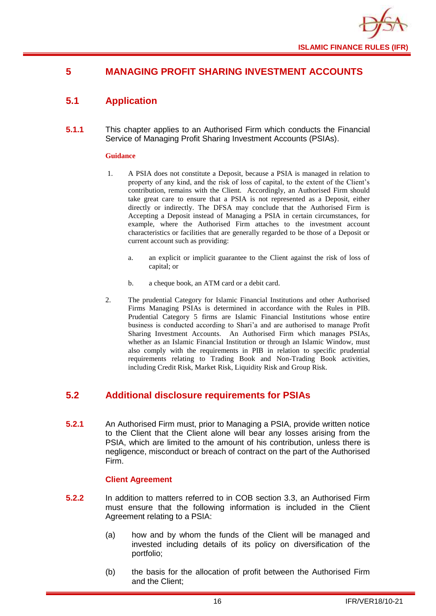

## <span id="page-18-0"></span>**5 MANAGING PROFIT SHARING INVESTMENT ACCOUNTS**

## <span id="page-18-1"></span>**5.1 Application**

**5.1.1** This chapter applies to an Authorised Firm which conducts the Financial Service of Managing Profit Sharing Investment Accounts (PSIAs).

#### **Guidance**

- 1. A PSIA does not constitute a Deposit, because a PSIA is managed in relation to property of any kind, and the risk of loss of capital, to the extent of the Client's contribution, remains with the Client. Accordingly, an Authorised Firm should take great care to ensure that a PSIA is not represented as a Deposit, either directly or indirectly. The DFSA may conclude that the Authorised Firm is Accepting a Deposit instead of Managing a PSIA in certain circumstances, for example, where the Authorised Firm attaches to the investment account characteristics or facilities that are generally regarded to be those of a Deposit or current account such as providing:
	- a. an explicit or implicit guarantee to the Client against the risk of loss of capital; or
	- b. a cheque book, an ATM card or a debit card.
- 2. The prudential Category for Islamic Financial Institutions and other Authorised Firms Managing PSIAs is determined in accordance with the Rules in PIB. Prudential Category 5 firms are Islamic Financial Institutions whose entire business is conducted according to Shari'a and are authorised to manage Profit Sharing Investment Accounts. An Authorised Firm which manages PSIAs, whether as an Islamic Financial Institution or through an Islamic Window, must also comply with the requirements in PIB in relation to specific prudential requirements relating to Trading Book and Non-Trading Book activities, including Credit Risk, Market Risk, Liquidity Risk and Group Risk.

## <span id="page-18-2"></span>**5.2 Additional disclosure requirements for PSIAs**

**5.2.1** An Authorised Firm must, prior to Managing a PSIA, provide written notice to the Client that the Client alone will bear any losses arising from the PSIA, which are limited to the amount of his contribution, unless there is negligence, misconduct or breach of contract on the part of the Authorised Firm.

#### **Client Agreement**

- **5.2.2** In addition to matters referred to in COB section 3.3, an Authorised Firm must ensure that the following information is included in the Client Agreement relating to a PSIA:
	- (a) how and by whom the funds of the Client will be managed and invested including details of its policy on diversification of the portfolio;
	- (b) the basis for the allocation of profit between the Authorised Firm and the Client;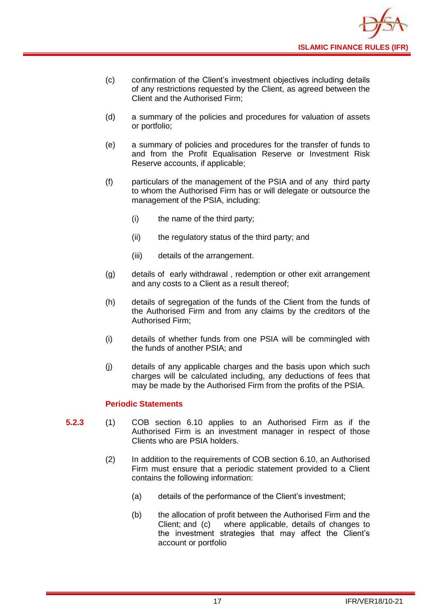

- (c) confirmation of the Client's investment objectives including details of any restrictions requested by the Client, as agreed between the Client and the Authorised Firm;
- (d) a summary of the policies and procedures for valuation of assets or portfolio;
- (e) a summary of policies and procedures for the transfer of funds to and from the Profit Equalisation Reserve or Investment Risk Reserve accounts, if applicable;
- (f) particulars of the management of the PSIA and of any third party to whom the Authorised Firm has or will delegate or outsource the management of the PSIA, including:
	- (i) the name of the third party;
	- (ii) the regulatory status of the third party; and
	- (iii) details of the arrangement.
- (g) details of early withdrawal , redemption or other exit arrangement and any costs to a Client as a result thereof;
- (h) details of segregation of the funds of the Client from the funds of the Authorised Firm and from any claims by the creditors of the Authorised Firm;
- (i) details of whether funds from one PSIA will be commingled with the funds of another PSIA; and
- (j) details of any applicable charges and the basis upon which such charges will be calculated including, any deductions of fees that may be made by the Authorised Firm from the profits of the PSIA.

#### **Periodic Statements**

- **5.2.3** (1) COB section 6.10 applies to an Authorised Firm as if the Authorised Firm is an investment manager in respect of those Clients who are PSIA holders.
	- (2) In addition to the requirements of COB section 6.10, an Authorised Firm must ensure that a periodic statement provided to a Client contains the following information:
		- (a) details of the performance of the Client's investment;
		- (b) the allocation of profit between the Authorised Firm and the Client; and (c) where applicable, details of changes to the investment strategies that may affect the Client's account or portfolio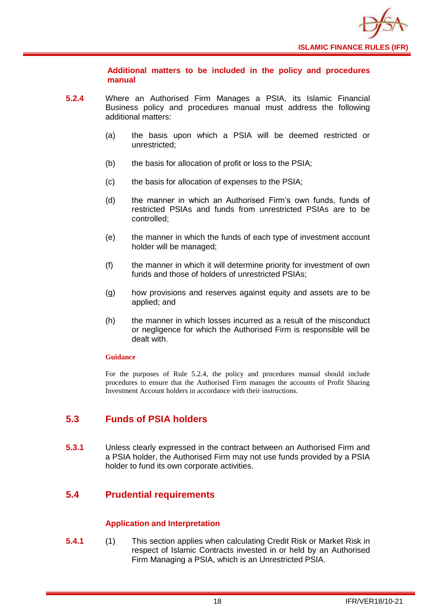

**Additional matters to be included in the policy and procedures manual** 

- **5.2.4** Where an Authorised Firm Manages a PSIA, its Islamic Financial Business policy and procedures manual must address the following additional matters:
	- (a) the basis upon which a PSIA will be deemed restricted or unrestricted;
	- (b) the basis for allocation of profit or loss to the PSIA;
	- (c) the basis for allocation of expenses to the PSIA;
	- (d) the manner in which an Authorised Firm's own funds, funds of restricted PSIAs and funds from unrestricted PSIAs are to be controlled;
	- (e) the manner in which the funds of each type of investment account holder will be managed;
	- (f) the manner in which it will determine priority for investment of own funds and those of holders of unrestricted PSIAs;
	- (g) how provisions and reserves against equity and assets are to be applied; and
	- (h) the manner in which losses incurred as a result of the misconduct or negligence for which the Authorised Firm is responsible will be dealt with.

#### **Guidance**

For the purposes of Rule 5.2.4, the policy and procedures manual should include procedures to ensure that the Authorised Firm manages the accounts of Profit Sharing Investment Account holders in accordance with their instructions.

## <span id="page-20-0"></span>**5.3 Funds of PSIA holders**

**5.3.1** Unless clearly expressed in the contract between an Authorised Firm and a PSIA holder, the Authorised Firm may not use funds provided by a PSIA holder to fund its own corporate activities.

## <span id="page-20-1"></span>**5.4 Prudential requirements**

#### **Application and Interpretation**

**5.4.1** (1) This section applies when calculating Credit Risk or Market Risk in respect of Islamic Contracts invested in or held by an Authorised Firm Managing a PSIA, which is an Unrestricted PSIA.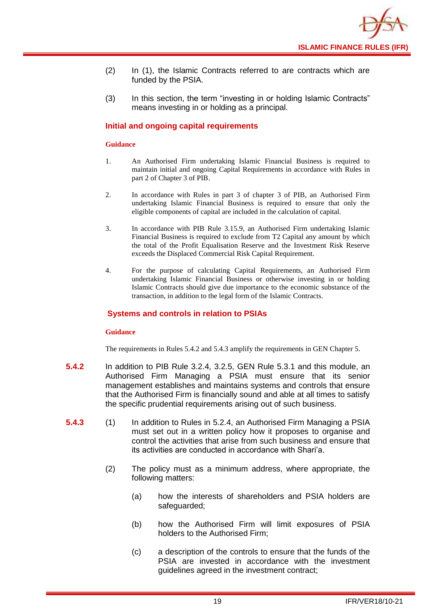

- (2) In (1), the Islamic Contracts referred to are contracts which are funded by the PSIA.
- (3) In this section, the term "investing in or holding Islamic Contracts" means investing in or holding as a principal.

#### **Initial and ongoing capital requirements**

#### **Guidance**

- 1. An Authorised Firm undertaking Islamic Financial Business is required to maintain initial and ongoing Capital Requirements in accordance with Rules in part 2 of Chapter 3 of PIB.
- 2. In accordance with Rules in part 3 of chapter 3 of PIB, an Authorised Firm undertaking Islamic Financial Business is required to ensure that only the eligible components of capital are included in the calculation of capital.
- 3. In accordance with PIB Rule 3.15.9, an Authorised Firm undertaking Islamic Financial Business is required to exclude from T2 Capital any amount by which the total of the Profit Equalisation Reserve and the Investment Risk Reserve exceeds the Displaced Commercial Risk Capital Requirement.
- 4. For the purpose of calculating Capital Requirements, an Authorised Firm undertaking Islamic Financial Business or otherwise investing in or holding Islamic Contracts should give due importance to the economic substance of the transaction, in addition to the legal form of the Islamic Contracts.

#### **Systems and controls in relation to PSIAs**

#### **Guidance**

The requirements in Rules 5.4.2 and 5.4.3 amplify the requirements in GEN Chapter 5.

- **5.4.2** In addition to PIB Rule 3.2.4, 3.2.5, GEN Rule 5.3.1 and this module, an Authorised Firm Managing a PSIA must ensure that its senior management establishes and maintains systems and controls that ensure that the Authorised Firm is financially sound and able at all times to satisfy the specific prudential requirements arising out of such business.
- **5.4.3** (1) In addition to Rules in 5.2.4, an Authorised Firm Managing a PSIA must set out in a written policy how it proposes to organise and control the activities that arise from such business and ensure that its activities are conducted in accordance with Shari'a.
	- (2) The policy must as a minimum address, where appropriate, the following matters:
		- (a) how the interests of shareholders and PSIA holders are safeguarded;
		- (b) how the Authorised Firm will limit exposures of PSIA holders to the Authorised Firm;
		- (c) a description of the controls to ensure that the funds of the PSIA are invested in accordance with the investment guidelines agreed in the investment contract;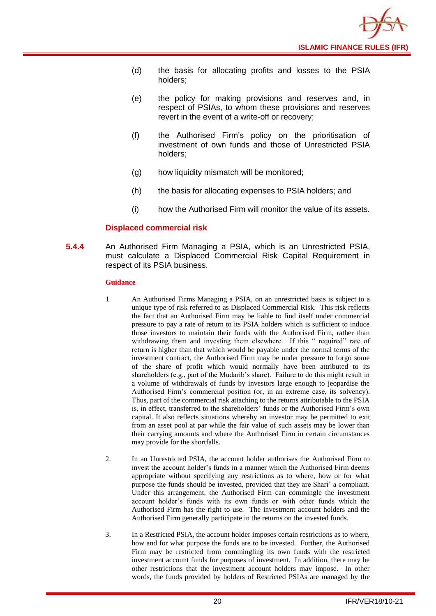

- (d) the basis for allocating profits and losses to the PSIA holders;
- (e) the policy for making provisions and reserves and, in respect of PSIAs, to whom these provisions and reserves revert in the event of a write-off or recovery;
- (f) the Authorised Firm's policy on the prioritisation of investment of own funds and those of Unrestricted PSIA holders;
- (g) how liquidity mismatch will be monitored;
- (h) the basis for allocating expenses to PSIA holders; and
- (i) how the Authorised Firm will monitor the value of its assets.

#### **Displaced commercial risk**

**5.4.4** An Authorised Firm Managing a PSIA, which is an Unrestricted PSIA, must calculate a Displaced Commercial Risk Capital Requirement in respect of its PSIA business.

- 1. An Authorised Firms Managing a PSIA, on an unrestricted basis is subject to a unique type of risk referred to as Displaced Commercial Risk. This risk reflects the fact that an Authorised Firm may be liable to find itself under commercial pressure to pay a rate of return to its PSIA holders which is sufficient to induce those investors to maintain their funds with the Authorised Firm, rather than withdrawing them and investing them elsewhere. If this " required" rate of return is higher than that which would be payable under the normal terms of the investment contract, the Authorised Firm may be under pressure to forgo some of the share of profit which would normally have been attributed to its shareholders (e.g., part of the Mudarib's share). Failure to do this might result in a volume of withdrawals of funds by investors large enough to jeopardise the Authorised Firm's commercial position (or, in an extreme case, its solvency). Thus, part of the commercial risk attaching to the returns attributable to the PSIA is, in effect, transferred to the shareholders' funds or the Authorised Firm's own capital. It also reflects situations whereby an investor may be permitted to exit from an asset pool at par while the fair value of such assets may be lower than their carrying amounts and where the Authorised Firm in certain circumstances may provide for the shortfalls.
- 2. In an Unrestricted PSIA, the account holder authorises the Authorised Firm to invest the account holder's funds in a manner which the Authorised Firm deems appropriate without specifying any restrictions as to where, how or for what purpose the funds should be invested, provided that they are Shari' a compliant. Under this arrangement, the Authorised Firm can commingle the investment account holder's funds with its own funds or with other funds which the Authorised Firm has the right to use. The investment account holders and the Authorised Firm generally participate in the returns on the invested funds.
- 3. In a Restricted PSIA, the account holder imposes certain restrictions as to where, how and for what purpose the funds are to be invested. Further, the Authorised Firm may be restricted from commingling its own funds with the restricted investment account funds for purposes of investment. In addition, there may be other restrictions that the investment account holders may impose. In other words, the funds provided by holders of Restricted PSIAs are managed by the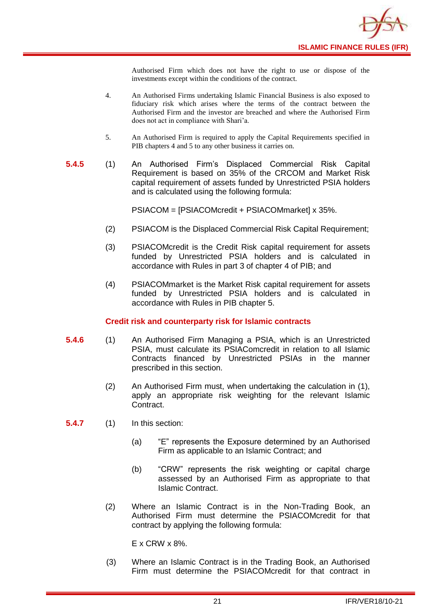

Authorised Firm which does not have the right to use or dispose of the investments except within the conditions of the contract.

- 4. An Authorised Firms undertaking Islamic Financial Business is also exposed to fiduciary risk which arises where the terms of the contract between the Authorised Firm and the investor are breached and where the Authorised Firm does not act in compliance with Shari'a.
- 5. An Authorised Firm is required to apply the Capital Requirements specified in PIB chapters 4 and 5 to any other business it carries on.
- **5.4.5** (1) An Authorised Firm's Displaced Commercial Risk Capital Requirement is based on 35% of the CRCOM and Market Risk capital requirement of assets funded by Unrestricted PSIA holders and is calculated using the following formula:

PSIACOM = [PSIACOMcredit + PSIACOMmarket] x 35%.

- (2) PSIACOM is the Displaced Commercial Risk Capital Requirement;
- (3) PSIACOMcredit is the Credit Risk capital requirement for assets funded by Unrestricted PSIA holders and is calculated in accordance with Rules in part 3 of chapter 4 of PIB; and
- (4) PSIACOMmarket is the Market Risk capital requirement for assets funded by Unrestricted PSIA holders and is calculated in accordance with Rules in PIB chapter 5.

#### **Credit risk and counterparty risk for Islamic contracts**

- **5.4.6** (1) An Authorised Firm Managing a PSIA, which is an Unrestricted PSIA, must calculate its PSIAComcredit in relation to all Islamic Contracts financed by Unrestricted PSIAs in the manner prescribed in this section.
	- (2) An Authorised Firm must, when undertaking the calculation in (1), apply an appropriate risk weighting for the relevant Islamic Contract.

**5.4.7** (1) In this section:

- (a) "E" represents the Exposure determined by an Authorised Firm as applicable to an Islamic Contract; and
- (b) "CRW" represents the risk weighting or capital charge assessed by an Authorised Firm as appropriate to that Islamic Contract.
- (2) Where an Islamic Contract is in the Non-Trading Book, an Authorised Firm must determine the PSIACOMcredit for that contract by applying the following formula:

E x CRW x 8%.

(3) Where an Islamic Contract is in the Trading Book, an Authorised Firm must determine the PSIACOMcredit for that contract in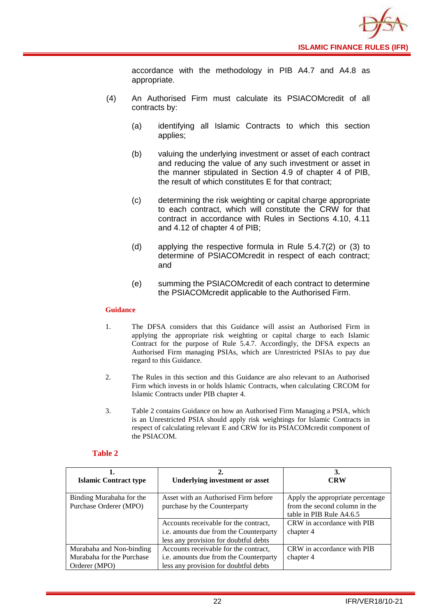

accordance with the methodology in PIB A4.7 and A4.8 as appropriate.

- (4) An Authorised Firm must calculate its PSIACOMcredit of all contracts by:
	- (a) identifying all Islamic Contracts to which this section applies;
	- (b) valuing the underlying investment or asset of each contract and reducing the value of any such investment or asset in the manner stipulated in Section 4.9 of chapter 4 of PIB, the result of which constitutes E for that contract;
	- (c) determining the risk weighting or capital charge appropriate to each contract, which will constitute the CRW for that contract in accordance with Rules in Sections 4.10, 4.11 and 4.12 of chapter 4 of PIB;
	- (d) applying the respective formula in Rule 5.4.7(2) or (3) to determine of PSIACOMcredit in respect of each contract; and
	- (e) summing the PSIACOMcredit of each contract to determine the PSIACOMcredit applicable to the Authorised Firm.

#### **Guidance**

- 1. The DFSA considers that this Guidance will assist an Authorised Firm in applying the appropriate risk weighting or capital charge to each Islamic Contract for the purpose of Rule 5.4.7. Accordingly, the DFSA expects an Authorised Firm managing PSIAs, which are Unrestricted PSIAs to pay due regard to this Guidance.
- 2. The Rules in this section and this Guidance are also relevant to an Authorised Firm which invests in or holds Islamic Contracts, when calculating CRCOM for Islamic Contracts under PIB chapter 4.
- 3. Table 2 contains Guidance on how an Authorised Firm Managing a PSIA, which is an Unrestricted PSIA should apply risk weightings for Islamic Contracts in respect of calculating relevant E and CRW for its PSIACOMcredit component of the PSIACOM.

#### **Table 2**

| <b>Islamic Contract type</b>                                           | <b>Underlying investment or asset</b>                                                                                    | 3.<br><b>CRW</b>                                                                              |
|------------------------------------------------------------------------|--------------------------------------------------------------------------------------------------------------------------|-----------------------------------------------------------------------------------------------|
| Binding Murabaha for the<br>Purchase Orderer (MPO)                     | Asset with an Authorised Firm before<br>purchase by the Counterparty                                                     | Apply the appropriate percentage<br>from the second column in the<br>table in PIB Rule A4.6.5 |
|                                                                        | Accounts receivable for the contract,<br>i.e. amounts due from the Counterparty<br>less any provision for doubtful debts | CRW in accordance with PIB<br>chapter 4                                                       |
| Murabaha and Non-binding<br>Murabaha for the Purchase<br>Orderer (MPO) | Accounts receivable for the contract,<br>i.e. amounts due from the Counterparty<br>less any provision for doubtful debts | CRW in accordance with PIB<br>chapter 4                                                       |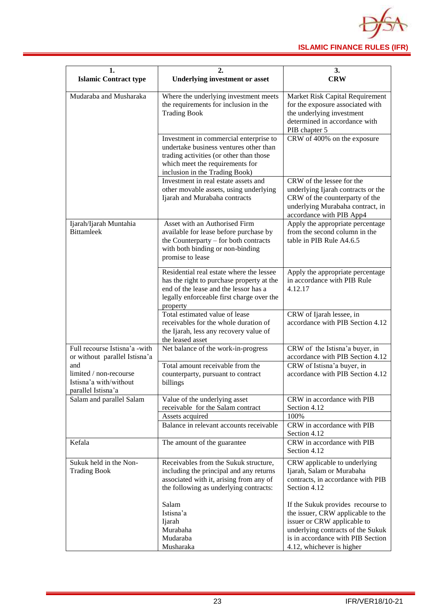

| 1.<br><b>Islamic Contract type</b>                                            | 2.<br><b>Underlying investment or asset</b>                                                                                                                                                      | 3.<br><b>CRW</b>                                                                                                                                                                                             |  |  |  |  |  |
|-------------------------------------------------------------------------------|--------------------------------------------------------------------------------------------------------------------------------------------------------------------------------------------------|--------------------------------------------------------------------------------------------------------------------------------------------------------------------------------------------------------------|--|--|--|--|--|
| Mudaraba and Musharaka                                                        | Where the underlying investment meets<br>the requirements for inclusion in the<br><b>Trading Book</b>                                                                                            | Market Risk Capital Requirement<br>for the exposure associated with<br>the underlying investment<br>determined in accordance with<br>PIB chapter 5                                                           |  |  |  |  |  |
|                                                                               | Investment in commercial enterprise to<br>undertake business ventures other than<br>trading activities (or other than those<br>which meet the requirements for<br>inclusion in the Trading Book) | CRW of 400% on the exposure                                                                                                                                                                                  |  |  |  |  |  |
|                                                                               | Investment in real estate assets and<br>other movable assets, using underlying<br>Ijarah and Murabaha contracts                                                                                  | CRW of the lessee for the<br>underlying Ijarah contracts or the<br>CRW of the counterparty of the<br>underlying Murabaha contract, in<br>accordance with PIB App4                                            |  |  |  |  |  |
| Ijarah/Ijarah Muntahia<br><b>Bittamleek</b>                                   | Asset with an Authorised Firm<br>available for lease before purchase by<br>the Counterparty – for both contracts<br>with both binding or non-binding<br>promise to lease                         | Apply the appropriate percentage<br>from the second column in the<br>table in PIB Rule A4.6.5                                                                                                                |  |  |  |  |  |
|                                                                               | Residential real estate where the lessee<br>has the right to purchase property at the<br>end of the lease and the lessor has a<br>legally enforceable first charge over the<br>property          | Apply the appropriate percentage<br>in accordance with PIB Rule<br>4.12.17                                                                                                                                   |  |  |  |  |  |
|                                                                               | Total estimated value of lease<br>receivables for the whole duration of<br>the Ijarah, less any recovery value of<br>the leased asset                                                            | CRW of Ijarah lessee, in<br>accordance with PIB Section 4.12                                                                                                                                                 |  |  |  |  |  |
| Full recourse Istisna'a -with<br>or without parallel Istisna'a                | Net balance of the work-in-progress                                                                                                                                                              | CRW of the Istisna'a buyer, in<br>accordance with PIB Section 4.12                                                                                                                                           |  |  |  |  |  |
| and<br>limited / non-recourse<br>Istisna'a with/without<br>parallel Istisna'a | Total amount receivable from the<br>counterparty, pursuant to contract<br>billings                                                                                                               | CRW of Istisna'a buyer, in<br>accordance with PIB Section 4.12                                                                                                                                               |  |  |  |  |  |
| Salam and parallel Salam                                                      | Value of the underlying asset<br>receivable for the Salam contract                                                                                                                               | CRW in accordance with PIB<br>Section 4.12                                                                                                                                                                   |  |  |  |  |  |
|                                                                               | Assets acquired                                                                                                                                                                                  | 100%                                                                                                                                                                                                         |  |  |  |  |  |
|                                                                               | Balance in relevant accounts receivable                                                                                                                                                          | CRW in accordance with PIB<br>Section 4.12                                                                                                                                                                   |  |  |  |  |  |
| Kefala                                                                        | The amount of the guarantee                                                                                                                                                                      | CRW in accordance with PIB<br>Section 4.12                                                                                                                                                                   |  |  |  |  |  |
| Sukuk held in the Non-<br><b>Trading Book</b>                                 | Receivables from the Sukuk structure,<br>including the principal and any returns<br>associated with it, arising from any of<br>the following as underlying contracts:                            | CRW applicable to underlying<br>Ijarah, Salam or Murabaha<br>contracts, in accordance with PIB<br>Section 4.12                                                                                               |  |  |  |  |  |
|                                                                               | Salam<br>Istisna'a<br>Ijarah<br>Murabaha<br>Mudaraba<br>Musharaka                                                                                                                                | If the Sukuk provides recourse to<br>the issuer, CRW applicable to the<br>issuer or CRW applicable to<br>underlying contracts of the Sukuk<br>is in accordance with PIB Section<br>4.12, whichever is higher |  |  |  |  |  |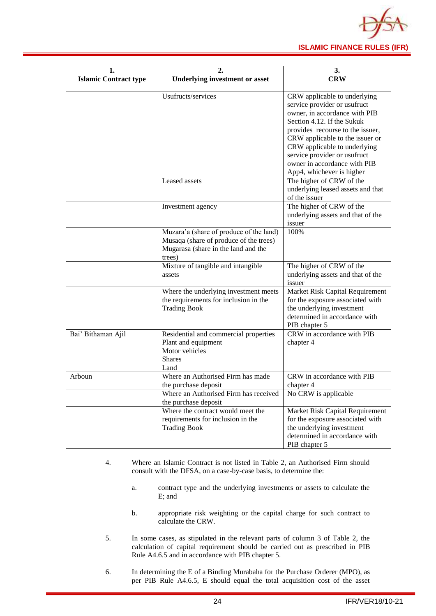

| 1.                           |                                                                                                                                    | 3.                                                                                                                                                                                                                                                                                                                              |  |  |  |  |  |
|------------------------------|------------------------------------------------------------------------------------------------------------------------------------|---------------------------------------------------------------------------------------------------------------------------------------------------------------------------------------------------------------------------------------------------------------------------------------------------------------------------------|--|--|--|--|--|
| <b>Islamic Contract type</b> | <b>Underlying investment or asset</b>                                                                                              | <b>CRW</b>                                                                                                                                                                                                                                                                                                                      |  |  |  |  |  |
|                              | Usufructs/services                                                                                                                 | CRW applicable to underlying<br>service provider or usufruct<br>owner, in accordance with PIB<br>Section 4.12. If the Sukuk<br>provides recourse to the issuer,<br>CRW applicable to the issuer or<br>CRW applicable to underlying<br>service provider or usufruct<br>owner in accordance with PIB<br>App4, whichever is higher |  |  |  |  |  |
|                              | Leased assets                                                                                                                      | The higher of CRW of the<br>underlying leased assets and that<br>of the issuer                                                                                                                                                                                                                                                  |  |  |  |  |  |
|                              | Investment agency                                                                                                                  | The higher of CRW of the<br>underlying assets and that of the<br>issuer                                                                                                                                                                                                                                                         |  |  |  |  |  |
|                              | Muzara'a (share of produce of the land)<br>Musaqa (share of produce of the trees)<br>Mugarasa (share in the land and the<br>trees) | 100%                                                                                                                                                                                                                                                                                                                            |  |  |  |  |  |
|                              | Mixture of tangible and intangible<br>assets                                                                                       | The higher of CRW of the<br>underlying assets and that of the<br>issuer                                                                                                                                                                                                                                                         |  |  |  |  |  |
|                              | Where the underlying investment meets<br>the requirements for inclusion in the<br><b>Trading Book</b>                              | Market Risk Capital Requirement<br>for the exposure associated with<br>the underlying investment<br>determined in accordance with<br>PIB chapter 5                                                                                                                                                                              |  |  |  |  |  |
| Bai' Bithaman Ajil           | Residential and commercial properties<br>Plant and equipment<br>Motor vehicles<br><b>Shares</b><br>Land                            | CRW in accordance with PIB<br>chapter 4                                                                                                                                                                                                                                                                                         |  |  |  |  |  |
| Arboun                       | Where an Authorised Firm has made<br>the purchase deposit<br>Where an Authorised Firm has received<br>the purchase deposit         | CRW in accordance with PIB<br>chapter 4<br>No CRW is applicable                                                                                                                                                                                                                                                                 |  |  |  |  |  |
|                              | Where the contract would meet the<br>requirements for inclusion in the<br><b>Trading Book</b>                                      | Market Risk Capital Requirement<br>for the exposure associated with<br>the underlying investment<br>determined in accordance with<br>PIB chapter 5                                                                                                                                                                              |  |  |  |  |  |

- 4. Where an Islamic Contract is not listed in Table 2, an Authorised Firm should consult with the DFSA, on a case-by-case basis, to determine the:
	- a. contract type and the underlying investments or assets to calculate the E; and
	- b. appropriate risk weighting or the capital charge for such contract to calculate the CRW.
- 5. In some cases, as stipulated in the relevant parts of column 3 of Table 2, the calculation of capital requirement should be carried out as prescribed in PIB Rule A4.6.5 and in accordance with PIB chapter 5.
- 6. In determining the E of a Binding Murabaha for the Purchase Orderer (MPO), as per PIB Rule A4.6.5, E should equal the total acquisition cost of the asset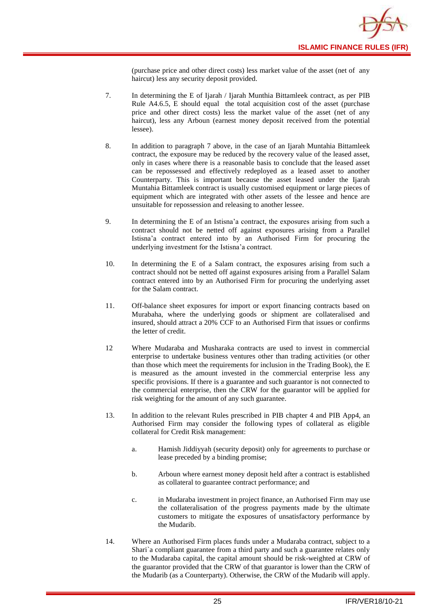![](_page_27_Picture_0.jpeg)

(purchase price and other direct costs) less market value of the asset (net of any haircut) less any security deposit provided.

- 7. In determining the E of Ijarah / Ijarah Munthia Bittamleek contract, as per PIB Rule A4.6.5, E should equal the total acquisition cost of the asset (purchase price and other direct costs) less the market value of the asset (net of any haircut), less any Arboun (earnest money deposit received from the potential lessee).
- 8. In addition to paragraph 7 above, in the case of an Ijarah Muntahia Bittamleek contract, the exposure may be reduced by the recovery value of the leased asset, only in cases where there is a reasonable basis to conclude that the leased asset can be repossessed and effectively redeployed as a leased asset to another Counterparty. This is important because the asset leased under the Ijarah Muntahia Bittamleek contract is usually customised equipment or large pieces of equipment which are integrated with other assets of the lessee and hence are unsuitable for repossession and releasing to another lessee.
- 9. In determining the E of an Istisna'a contract, the exposures arising from such a contract should not be netted off against exposures arising from a Parallel Istisna'a contract entered into by an Authorised Firm for procuring the underlying investment for the Istisna'a contract.
- 10. In determining the E of a Salam contract, the exposures arising from such a contract should not be netted off against exposures arising from a Parallel Salam contract entered into by an Authorised Firm for procuring the underlying asset for the Salam contract.
- 11. Off-balance sheet exposures for import or export financing contracts based on Murabaha, where the underlying goods or shipment are collateralised and insured, should attract a 20% CCF to an Authorised Firm that issues or confirms the letter of credit.
- 12 Where Mudaraba and Musharaka contracts are used to invest in commercial enterprise to undertake business ventures other than trading activities (or other than those which meet the requirements for inclusion in the Trading Book), the E is measured as the amount invested in the commercial enterprise less any specific provisions. If there is a guarantee and such guarantor is not connected to the commercial enterprise, then the CRW for the guarantor will be applied for risk weighting for the amount of any such guarantee.
- 13. In addition to the relevant Rules prescribed in PIB chapter 4 and PIB App4, an Authorised Firm may consider the following types of collateral as eligible collateral for Credit Risk management:
	- a. Hamish Jiddiyyah (security deposit) only for agreements to purchase or lease preceded by a binding promise;
	- b. Arboun where earnest money deposit held after a contract is established as collateral to guarantee contract performance; and
	- c. in Mudaraba investment in project finance, an Authorised Firm may use the collateralisation of the progress payments made by the ultimate customers to mitigate the exposures of unsatisfactory performance by the Mudarib.
- 14. Where an Authorised Firm places funds under a Mudaraba contract, subject to a Shari`a compliant guarantee from a third party and such a guarantee relates only to the Mudaraba capital, the capital amount should be risk-weighted at CRW of the guarantor provided that the CRW of that guarantor is lower than the CRW of the Mudarib (as a Counterparty). Otherwise, the CRW of the Mudarib will apply.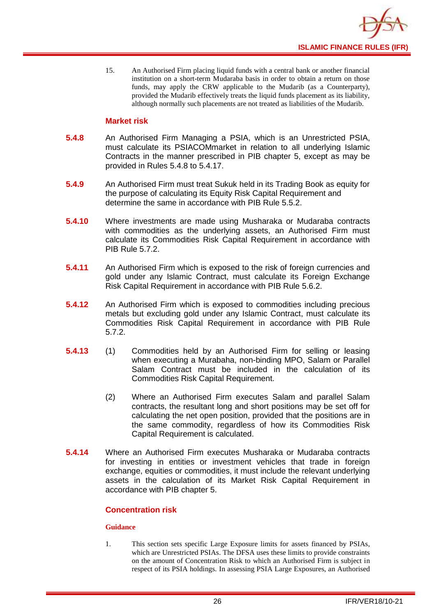![](_page_28_Picture_0.jpeg)

15. An Authorised Firm placing liquid funds with a central bank or another financial institution on a short-term Mudaraba basis in order to obtain a return on those funds, may apply the CRW applicable to the Mudarib (as a Counterparty), provided the Mudarib effectively treats the liquid funds placement as its liability, although normally such placements are not treated as liabilities of the Mudarib.

#### **Market risk**

- **5.4.8** An Authorised Firm Managing a PSIA, which is an Unrestricted PSIA, must calculate its PSIACOMmarket in relation to all underlying Islamic Contracts in the manner prescribed in PIB chapter 5, except as may be provided in Rules 5.4.8 to 5.4.17.
- **5.4.9** An Authorised Firm must treat Sukuk held in its Trading Book as equity for the purpose of calculating its Equity Risk Capital Requirement and determine the same in accordance with PIB Rule 5.5.2.
- **5.4.10** Where investments are made using Musharaka or Mudaraba contracts with commodities as the underlying assets, an Authorised Firm must calculate its Commodities Risk Capital Requirement in accordance with PIB Rule 5.7.2.
- **5.4.11** An Authorised Firm which is exposed to the risk of foreign currencies and gold under any Islamic Contract, must calculate its Foreign Exchange Risk Capital Requirement in accordance with PIB Rule 5.6.2.
- **5.4.12** An Authorised Firm which is exposed to commodities including precious metals but excluding gold under any Islamic Contract, must calculate its Commodities Risk Capital Requirement in accordance with PIB Rule 5.7.2.
- **5.4.13** (1) Commodities held by an Authorised Firm for selling or leasing when executing a Murabaha, non-binding MPO, Salam or Parallel Salam Contract must be included in the calculation of its Commodities Risk Capital Requirement.
	- (2) Where an Authorised Firm executes Salam and parallel Salam contracts, the resultant long and short positions may be set off for calculating the net open position, provided that the positions are in the same commodity, regardless of how its Commodities Risk Capital Requirement is calculated.
- **5.4.14** Where an Authorised Firm executes Musharaka or Mudaraba contracts for investing in entities or investment vehicles that trade in foreign exchange, equities or commodities, it must include the relevant underlying assets in the calculation of its Market Risk Capital Requirement in accordance with PIB chapter 5.

#### **Concentration risk**

#### **Guidance**

1. This section sets specific Large Exposure limits for assets financed by PSIAs, which are Unrestricted PSIAs. The DFSA uses these limits to provide constraints on the amount of Concentration Risk to which an Authorised Firm is subject in respect of its PSIA holdings. In assessing PSIA Large Exposures, an Authorised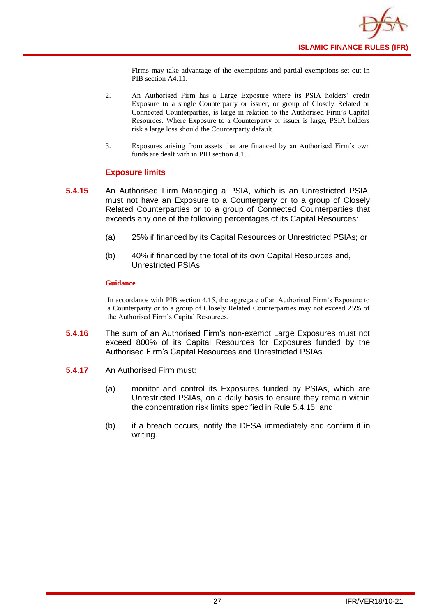![](_page_29_Picture_0.jpeg)

Firms may take advantage of the exemptions and partial exemptions set out in PIB section A4.11.

- 2. An Authorised Firm has a Large Exposure where its PSIA holders' credit Exposure to a single Counterparty or issuer, or group of Closely Related or Connected Counterparties, is large in relation to the Authorised Firm's Capital Resources. Where Exposure to a Counterparty or issuer is large, PSIA holders risk a large loss should the Counterparty default.
- 3. Exposures arising from assets that are financed by an Authorised Firm's own funds are dealt with in PIB section 4.15.

#### **Exposure limits**

- **5.4.15** An Authorised Firm Managing a PSIA, which is an Unrestricted PSIA, must not have an Exposure to a Counterparty or to a group of Closely Related Counterparties or to a group of Connected Counterparties that exceeds any one of the following percentages of its Capital Resources:
	- (a) 25% if financed by its Capital Resources or Unrestricted PSIAs; or
	- (b) 40% if financed by the total of its own Capital Resources and, Unrestricted PSIAs.

#### **Guidance**

In accordance with PIB section 4.15, the aggregate of an Authorised Firm's Exposure to a Counterparty or to a group of Closely Related Counterparties may not exceed 25% of the Authorised Firm's Capital Resources.

- **5.4.16** The sum of an Authorised Firm's non-exempt Large Exposures must not exceed 800% of its Capital Resources for Exposures funded by the Authorised Firm's Capital Resources and Unrestricted PSIAs.
- **5.4.17** An Authorised Firm must:
	- (a) monitor and control its Exposures funded by PSIAs, which are Unrestricted PSIAs, on a daily basis to ensure they remain within the concentration risk limits specified in Rule 5.4.15; and
	- (b) if a breach occurs, notify the DFSA immediately and confirm it in writing.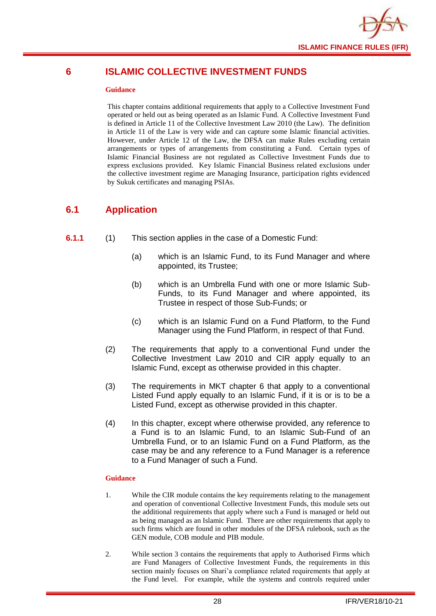![](_page_30_Picture_0.jpeg)

## <span id="page-30-0"></span>**6 ISLAMIC COLLECTIVE INVESTMENT FUNDS**

#### **Guidance**

This chapter contains additional requirements that apply to a Collective Investment Fund operated or held out as being operated as an Islamic Fund. A Collective Investment Fund is defined in Article 11 of the Collective Investment Law 2010 (the Law). The definition in Article 11 of the Law is very wide and can capture some Islamic financial activities. However, under Article 12 of the Law, the DFSA can make Rules excluding certain arrangements or types of arrangements from constituting a Fund. Certain types of Islamic Financial Business are not regulated as Collective Investment Funds due to express exclusions provided. Key Islamic Financial Business related exclusions under the collective investment regime are Managing Insurance, participation rights evidenced by Sukuk certificates and managing PSIAs.

## <span id="page-30-1"></span>**6.1 Application**

- **6.1.1** (1) This section applies in the case of a Domestic Fund:
	- (a) which is an Islamic Fund, to its Fund Manager and where appointed, its Trustee;
	- (b) which is an Umbrella Fund with one or more Islamic Sub-Funds, to its Fund Manager and where appointed, its Trustee in respect of those Sub-Funds; or
	- (c) which is an Islamic Fund on a Fund Platform, to the Fund Manager using the Fund Platform, in respect of that Fund.
	- (2) The requirements that apply to a conventional Fund under the Collective Investment Law 2010 and CIR apply equally to an Islamic Fund, except as otherwise provided in this chapter.
	- (3) The requirements in MKT chapter 6 that apply to a conventional Listed Fund apply equally to an Islamic Fund, if it is or is to be a Listed Fund, except as otherwise provided in this chapter.
	- (4) In this chapter, except where otherwise provided, any reference to a Fund is to an Islamic Fund, to an Islamic Sub-Fund of an Umbrella Fund, or to an Islamic Fund on a Fund Platform, as the case may be and any reference to a Fund Manager is a reference to a Fund Manager of such a Fund.

- 1. While the CIR module contains the key requirements relating to the management and operation of conventional Collective Investment Funds, this module sets out the additional requirements that apply where such a Fund is managed or held out as being managed as an Islamic Fund. There are other requirements that apply to such firms which are found in other modules of the DFSA rulebook, such as the GEN module, COB module and PIB module.
- 2. While section 3 contains the requirements that apply to Authorised Firms which are Fund Managers of Collective Investment Funds, the requirements in this section mainly focuses on Shari'a compliance related requirements that apply at the Fund level. For example, while the systems and controls required under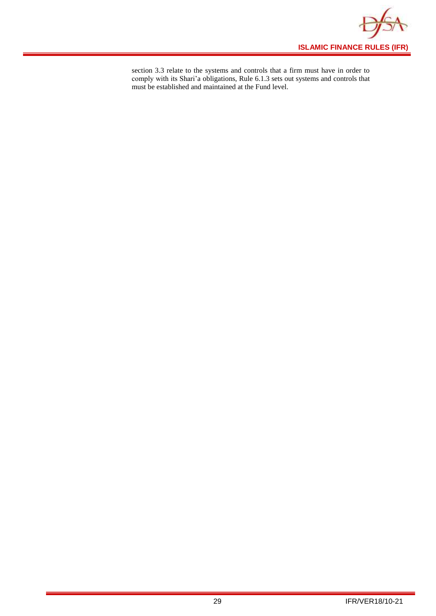![](_page_31_Picture_0.jpeg)

section 3.3 relate to the systems and controls that a firm must have in order to comply with its Shari'a obligations, Rule 6.1.3 sets out systems and controls that must be established and maintained at the Fund level.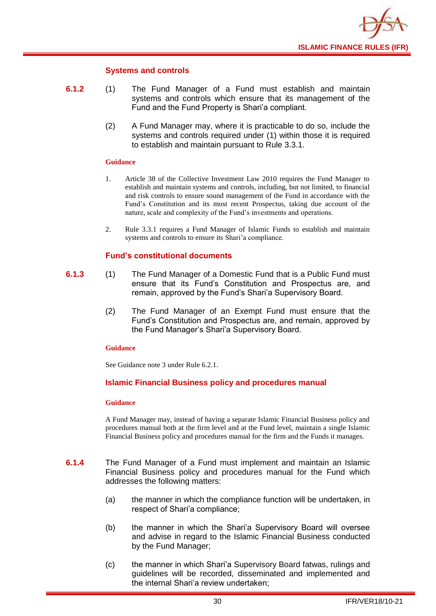![](_page_32_Picture_0.jpeg)

#### **Systems and controls**

- **6.1.2** (1) The Fund Manager of a Fund must establish and maintain systems and controls which ensure that its management of the Fund and the Fund Property is Shari'a compliant.
	- (2) A Fund Manager may, where it is practicable to do so, include the systems and controls required under (1) within those it is required to establish and maintain pursuant to Rule 3.3.1.

#### **Guidance**

- 1. Article 38 of the Collective Investment Law 2010 requires the Fund Manager to establish and maintain systems and controls, including, but not limited, to financial and risk controls to ensure sound management of the Fund in accordance with the Fund's Constitution and its most recent Prospectus, taking due account of the nature, scale and complexity of the Fund's investments and operations.
- 2. Rule 3.3.1 requires a Fund Manager of Islamic Funds to establish and maintain systems and controls to ensure its Shari'a compliance.

#### **Fund's constitutional documents**

- **6.1.3** (1) The Fund Manager of a Domestic Fund that is a Public Fund must ensure that its Fund's Constitution and Prospectus are, and remain, approved by the Fund's Shari'a Supervisory Board.
	- (2) The Fund Manager of an Exempt Fund must ensure that the Fund's Constitution and Prospectus are, and remain, approved by the Fund Manager's Shari'a Supervisory Board.

#### **Guidance**

See Guidance note 3 under Rule 6.2.1.

#### **Islamic Financial Business policy and procedures manual**

#### **Guidance**

A Fund Manager may, instead of having a separate Islamic Financial Business policy and procedures manual both at the firm level and at the Fund level, maintain a single Islamic Financial Business policy and procedures manual for the firm and the Funds it manages.

- **6.1.4** The Fund Manager of a Fund must implement and maintain an Islamic Financial Business policy and procedures manual for the Fund which addresses the following matters:
	- (a) the manner in which the compliance function will be undertaken, in respect of Shari'a compliance;
	- (b) the manner in which the Shari'a Supervisory Board will oversee and advise in regard to the Islamic Financial Business conducted by the Fund Manager;
	- (c) the manner in which Shari'a Supervisory Board fatwas, rulings and guidelines will be recorded, disseminated and implemented and the internal Shari'a review undertaken;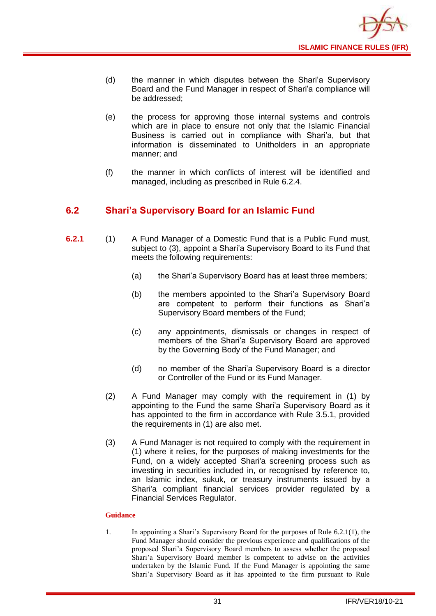![](_page_33_Picture_0.jpeg)

- (d) the manner in which disputes between the Shari'a Supervisory Board and the Fund Manager in respect of Shari'a compliance will be addressed;
- (e) the process for approving those internal systems and controls which are in place to ensure not only that the Islamic Financial Business is carried out in compliance with Shari'a, but that information is disseminated to Unitholders in an appropriate manner; and
- (f) the manner in which conflicts of interest will be identified and managed, including as prescribed in Rule 6.2.4.

## <span id="page-33-0"></span>**6.2 Shari'a Supervisory Board for an Islamic Fund**

- **6.2.1** (1) A Fund Manager of a Domestic Fund that is a Public Fund must, subject to (3), appoint a Shari'a Supervisory Board to its Fund that meets the following requirements:
	- (a) the Shari'a Supervisory Board has at least three members;
	- (b) the members appointed to the Shari'a Supervisory Board are competent to perform their functions as Shari'a Supervisory Board members of the Fund;
	- (c) any appointments, dismissals or changes in respect of members of the Shari'a Supervisory Board are approved by the Governing Body of the Fund Manager; and
	- (d) no member of the Shari'a Supervisory Board is a director or Controller of the Fund or its Fund Manager.
	- (2) A Fund Manager may comply with the requirement in (1) by appointing to the Fund the same Shari'a Supervisory Board as it has appointed to the firm in accordance with Rule 3.5.1, provided the requirements in (1) are also met.
	- (3) A Fund Manager is not required to comply with the requirement in (1) where it relies, for the purposes of making investments for the Fund, on a widely accepted Shari'a screening process such as investing in securities included in, or recognised by reference to, an Islamic index, sukuk, or treasury instruments issued by a Shari'a compliant financial services provider regulated by a Financial Services Regulator.

#### **Guidance**

1. In appointing a Shari'a Supervisory Board for the purposes of Rule 6.2.1(1), the Fund Manager should consider the previous experience and qualifications of the proposed Shari'a Supervisory Board members to assess whether the proposed Shari'a Supervisory Board member is competent to advise on the activities undertaken by the Islamic Fund. If the Fund Manager is appointing the same Shari'a Supervisory Board as it has appointed to the firm pursuant to Rule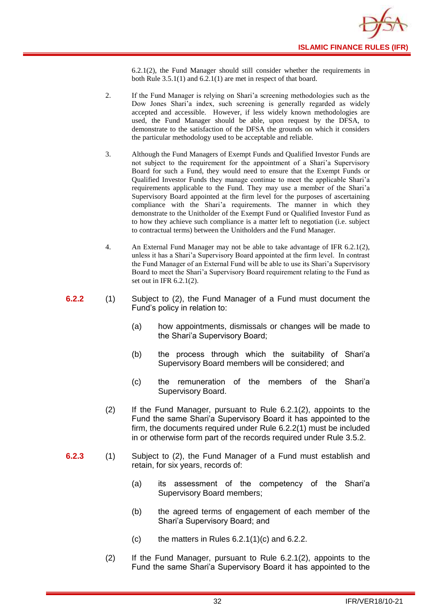![](_page_34_Picture_0.jpeg)

6.2.1(2), the Fund Manager should still consider whether the requirements in both Rule 3.5.1(1) and 6.2.1(1) are met in respect of that board.

- 2. If the Fund Manager is relying on Shari'a screening methodologies such as the Dow Jones Shari'a index, such screening is generally regarded as widely accepted and accessible. However, if less widely known methodologies are used, the Fund Manager should be able, upon request by the DFSA, to demonstrate to the satisfaction of the DFSA the grounds on which it considers the particular methodology used to be acceptable and reliable.
- 3. Although the Fund Managers of Exempt Funds and Qualified Investor Funds are not subject to the requirement for the appointment of a Shari'a Supervisory Board for such a Fund, they would need to ensure that the Exempt Funds or Qualified Investor Funds they manage continue to meet the applicable Shari'a requirements applicable to the Fund. They may use a member of the Shari'a Supervisory Board appointed at the firm level for the purposes of ascertaining compliance with the Shari'a requirements. The manner in which they demonstrate to the Unitholder of the Exempt Fund or Qualified Investor Fund as to how they achieve such compliance is a matter left to negotiation (i.e. subject to contractual terms) between the Unitholders and the Fund Manager.
- 4. An External Fund Manager may not be able to take advantage of IFR 6.2.1(2), unless it has a Shari'a Supervisory Board appointed at the firm level. In contrast the Fund Manager of an External Fund will be able to use its Shari'a Supervisory Board to meet the Shari'a Supervisory Board requirement relating to the Fund as set out in IFR 6.2.1(2).
- **6.2.2** (1) Subject to (2), the Fund Manager of a Fund must document the Fund's policy in relation to:
	- (a) how appointments, dismissals or changes will be made to the Shari'a Supervisory Board;
	- (b) the process through which the suitability of Shari'a Supervisory Board members will be considered; and
	- (c) the remuneration of the members of the Shari'a Supervisory Board.
	- (2) If the Fund Manager, pursuant to Rule 6.2.1(2), appoints to the Fund the same Shari'a Supervisory Board it has appointed to the firm, the documents required under Rule 6.2.2(1) must be included in or otherwise form part of the records required under Rule 3.5.2.
- **6.2.3** (1) Subject to (2), the Fund Manager of a Fund must establish and retain, for six years, records of:
	- (a) its assessment of the competency of the Shari'a Supervisory Board members;
	- (b) the agreed terms of engagement of each member of the Shari'a Supervisory Board; and
	- $(c)$  the matters in Rules 6.2.1(1)(c) and 6.2.2.
	- (2) If the Fund Manager, pursuant to Rule 6.2.1(2), appoints to the Fund the same Shari'a Supervisory Board it has appointed to the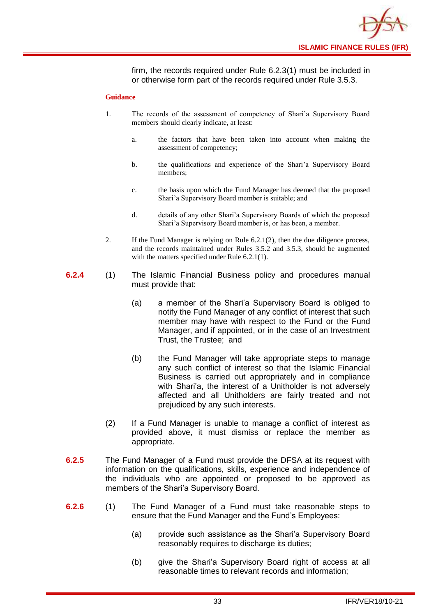![](_page_35_Picture_0.jpeg)

firm, the records required under Rule 6.2.3(1) must be included in or otherwise form part of the records required under Rule 3.5.3.

- 1. The records of the assessment of competency of Shari'a Supervisory Board members should clearly indicate, at least:
	- a. the factors that have been taken into account when making the assessment of competency;
	- b. the qualifications and experience of the Shari'a Supervisory Board members;
	- c. the basis upon which the Fund Manager has deemed that the proposed Shari'a Supervisory Board member is suitable; and
	- d. details of any other Shari'a Supervisory Boards of which the proposed Shari'a Supervisory Board member is, or has been, a member.
- 2. If the Fund Manager is relying on Rule 6.2.1(2), then the due diligence process, and the records maintained under Rules 3.5.2 and 3.5.3, should be augmented with the matters specified under Rule 6.2.1(1).
- **6.2.4** (1) The Islamic Financial Business policy and procedures manual must provide that:
	- (a) a member of the Shari'a Supervisory Board is obliged to notify the Fund Manager of any conflict of interest that such member may have with respect to the Fund or the Fund Manager, and if appointed, or in the case of an Investment Trust, the Trustee; and
	- (b) the Fund Manager will take appropriate steps to manage any such conflict of interest so that the Islamic Financial Business is carried out appropriately and in compliance with Shari'a, the interest of a Unitholder is not adversely affected and all Unitholders are fairly treated and not prejudiced by any such interests.
	- (2) If a Fund Manager is unable to manage a conflict of interest as provided above, it must dismiss or replace the member as appropriate.
- **6.2.5** The Fund Manager of a Fund must provide the DFSA at its request with information on the qualifications, skills, experience and independence of the individuals who are appointed or proposed to be approved as members of the Shari'a Supervisory Board.
- **6.2.6** (1) The Fund Manager of a Fund must take reasonable steps to ensure that the Fund Manager and the Fund's Employees:
	- (a) provide such assistance as the Shari'a Supervisory Board reasonably requires to discharge its duties;
	- (b) give the Shari'a Supervisory Board right of access at all reasonable times to relevant records and information;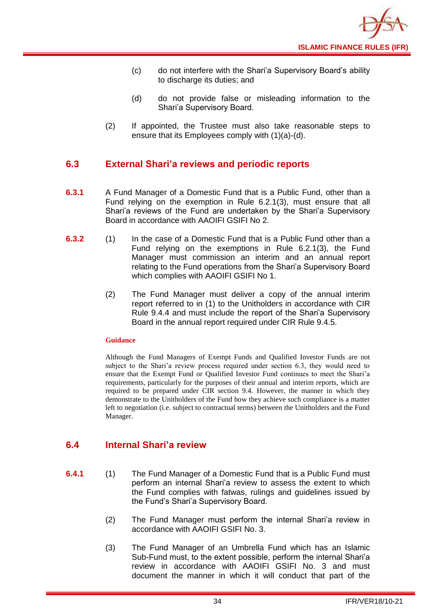- (c) do not interfere with the Shari'a Supervisory Board's ability to discharge its duties; and
- (d) do not provide false or misleading information to the Shari'a Supervisory Board.
- (2) If appointed, the Trustee must also take reasonable steps to ensure that its Employees comply with (1)(a)-(d).

## <span id="page-36-0"></span>**6.3 External Shari'a reviews and periodic reports**

- **6.3.1** A Fund Manager of a Domestic Fund that is a Public Fund, other than a Fund relying on the exemption in Rule 6.2.1(3), must ensure that all Shari'a reviews of the Fund are undertaken by the Shari'a Supervisory Board in accordance with AAOIFI GSIFI No 2.
- **6.3.2** (1) In the case of a Domestic Fund that is a Public Fund other than a Fund relying on the exemptions in Rule 6.2.1(3), the Fund Manager must commission an interim and an annual report relating to the Fund operations from the Shari'a Supervisory Board which complies with AAOIFI GSIFI No 1.
	- (2) The Fund Manager must deliver a copy of the annual interim report referred to in (1) to the Unitholders in accordance with CIR Rule 9.4.4 and must include the report of the Shari'a Supervisory Board in the annual report required under CIR Rule 9.4.5.

#### **Guidance**

Although the Fund Managers of Exempt Funds and Qualified Investor Funds are not subject to the Shari'a review process required under section 6.3, they would need to ensure that the Exempt Fund or Qualified Investor Fund continues to meet the Shari'a requirements, particularly for the purposes of their annual and interim reports, which are required to be prepared under CIR section 9.4. However, the manner in which they demonstrate to the Unitholders of the Fund how they achieve such compliance is a matter left to negotiation (i.e. subject to contractual terms) between the Unitholders and the Fund Manager.

## <span id="page-36-1"></span>**6.4 Internal Shari'a review**

- **6.4.1** (1) The Fund Manager of a Domestic Fund that is a Public Fund must perform an internal Shari'a review to assess the extent to which the Fund complies with fatwas, rulings and guidelines issued by the Fund's Shari'a Supervisory Board.
	- (2) The Fund Manager must perform the internal Shari'a review in accordance with AAOIFI GSIFI No. 3.
	- (3) The Fund Manager of an Umbrella Fund which has an Islamic Sub-Fund must, to the extent possible, perform the internal Shari'a review in accordance with AAOIFI GSIFI No. 3 and must document the manner in which it will conduct that part of the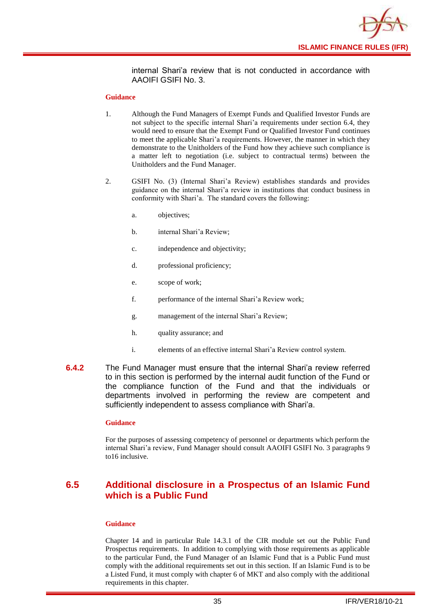![](_page_37_Picture_0.jpeg)

internal Shari'a review that is not conducted in accordance with AAOIFI GSIFI No. 3.

#### **Guidance**

- 1. Although the Fund Managers of Exempt Funds and Qualified Investor Funds are not subject to the specific internal Shari'a requirements under section 6.4, they would need to ensure that the Exempt Fund or Qualified Investor Fund continues to meet the applicable Shari'a requirements. However, the manner in which they demonstrate to the Unitholders of the Fund how they achieve such compliance is a matter left to negotiation (i.e. subject to contractual terms) between the Unitholders and the Fund Manager.
- 2. GSIFI No. (3) (Internal Shari'a Review) establishes standards and provides guidance on the internal Shari'a review in institutions that conduct business in conformity with Shari'a. The standard covers the following:
	- a. objectives;
	- b. internal Shari'a Review;
	- c. independence and objectivity;
	- d. professional proficiency;
	- e. scope of work;
	- f. performance of the internal Shari'a Review work;
	- g. management of the internal Shari'a Review;
	- h. quality assurance; and
	- i. elements of an effective internal Shari'a Review control system.
- **6.4.2** The Fund Manager must ensure that the internal Shari'a review referred to in this section is performed by the internal audit function of the Fund or the compliance function of the Fund and that the individuals or departments involved in performing the review are competent and sufficiently independent to assess compliance with Shari'a.

#### **Guidance**

For the purposes of assessing competency of personnel or departments which perform the internal Shari'a review, Fund Manager should consult AAOIFI GSIFI No. 3 paragraphs 9 to16 inclusive.

## <span id="page-37-0"></span>**6.5 Additional disclosure in a Prospectus of an Islamic Fund which is a Public Fund**

#### **Guidance**

Chapter 14 and in particular Rule 14.3.1 of the CIR module set out the Public Fund Prospectus requirements. In addition to complying with those requirements as applicable to the particular Fund, the Fund Manager of an Islamic Fund that is a Public Fund must comply with the additional requirements set out in this section. If an Islamic Fund is to be a Listed Fund, it must comply with chapter 6 of MKT and also comply with the additional requirements in this chapter.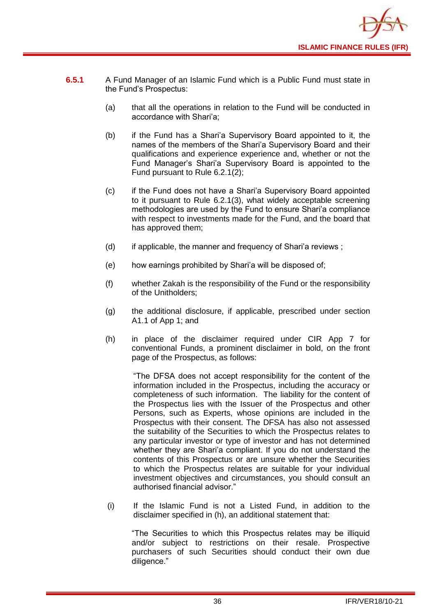![](_page_38_Picture_0.jpeg)

- **6.5.1** A Fund Manager of an Islamic Fund which is a Public Fund must state in the Fund's Prospectus:
	- (a) that all the operations in relation to the Fund will be conducted in accordance with Shari'a;
	- (b) if the Fund has a Shari'a Supervisory Board appointed to it, the names of the members of the Shari'a Supervisory Board and their qualifications and experience experience and, whether or not the Fund Manager's Shari'a Supervisory Board is appointed to the Fund pursuant to Rule 6.2.1(2);
	- (c) if the Fund does not have a Shari'a Supervisory Board appointed to it pursuant to Rule 6.2.1(3), what widely acceptable screening methodologies are used by the Fund to ensure Shari'a compliance with respect to investments made for the Fund, and the board that has approved them;
	- (d) if applicable, the manner and frequency of Shari'a reviews ;
	- (e) how earnings prohibited by Shari'a will be disposed of;
	- (f) whether Zakah is the responsibility of the Fund or the responsibility of the Unitholders;
	- (g) the additional disclosure, if applicable, prescribed under section A1.1 of App 1; and
	- (h) in place of the disclaimer required under CIR App 7 for conventional Funds, a prominent disclaimer in bold, on the front page of the Prospectus, as follows:

"The DFSA does not accept responsibility for the content of the information included in the Prospectus, including the accuracy or completeness of such information. The liability for the content of the Prospectus lies with the Issuer of the Prospectus and other Persons, such as Experts, whose opinions are included in the Prospectus with their consent. The DFSA has also not assessed the suitability of the Securities to which the Prospectus relates to any particular investor or type of investor and has not determined whether they are Shari'a compliant. If you do not understand the contents of this Prospectus or are unsure whether the Securities to which the Prospectus relates are suitable for your individual investment objectives and circumstances, you should consult an authorised financial advisor."

(i) If the Islamic Fund is not a Listed Fund, in addition to the disclaimer specified in (h), an additional statement that:

"The Securities to which this Prospectus relates may be illiquid and/or subject to restrictions on their resale. Prospective purchasers of such Securities should conduct their own due diligence."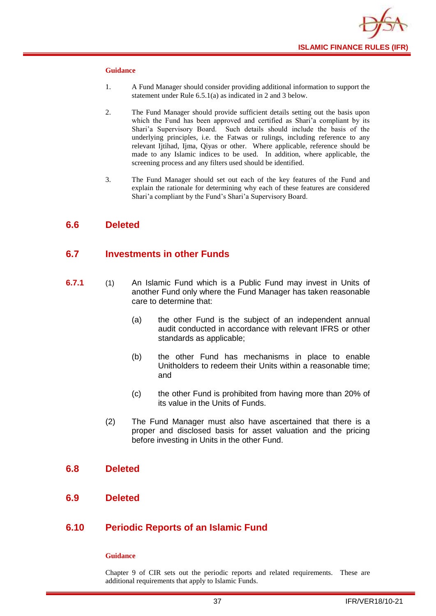![](_page_39_Picture_0.jpeg)

#### **Guidance**

- 1. A Fund Manager should consider providing additional information to support the statement under Rule 6.5.1(a) as indicated in 2 and 3 below.
- 2. The Fund Manager should provide sufficient details setting out the basis upon which the Fund has been approved and certified as Shari'a compliant by its Shari'a Supervisory Board. Such details should include the basis of the underlying principles, i.e. the Fatwas or rulings, including reference to any relevant Ijtihad, Ijma, Qiyas or other. Where applicable, reference should be made to any Islamic indices to be used. In addition, where applicable, the screening process and any filters used should be identified.
- 3. The Fund Manager should set out each of the key features of the Fund and explain the rationale for determining why each of these features are considered Shari'a compliant by the Fund's Shari'a Supervisory Board.

## <span id="page-39-0"></span>**6.6 Deleted**

### <span id="page-39-1"></span>**6.7 Investments in other Funds**

- **6.7.1** (1) An Islamic Fund which is a Public Fund may invest in Units of another [Fund](http://fsahandbook.info/FSA/glossary.jsp?doc=glossary/glossary&gloss=G1043#G1043) only where the Fund Manager has taken reasonable care to determine that:
	- (a) the other Fund is the subject of an independent annual audit conducted in accordance with relevant IFRS or other standards as applicable;
	- (b) the other Fund has mechanisms in place to enable [Unitholders](http://fsahandbook.info/FSA/glossary.jsp?doc=glossary/glossary&gloss=G1233#G1233) to redeem their [Units](http://fsahandbook.info/FSA/glossary.jsp?doc=glossary/glossary&gloss=G1230#G1230) within a reasonable time; and
	- (c) the other Fund is prohibited from having more than 20% of its value in the [Units](http://fsahandbook.info/FSA/glossary.jsp?doc=glossary/glossary&gloss=G1230#G1230) of Funds.
	- (2) The Fund Manager must also have ascertained that there is a proper and disclosed basis for asset valuation and the pricing before investing in [Units](http://fsahandbook.info/FSA/glossary.jsp?doc=glossary/glossary&gloss=G1230#G1230) in the other [Fund.](http://fsahandbook.info/FSA/glossary.jsp?doc=glossary/glossary&gloss=G1043#G1043)

#### <span id="page-39-2"></span>**6.8 Deleted**

<span id="page-39-3"></span>**6.9 Deleted**

## <span id="page-39-4"></span>**6.10 Periodic Reports of an Islamic Fund**

#### **Guidance**

Chapter 9 of CIR sets out the periodic reports and related requirements. These are additional requirements that apply to Islamic Funds.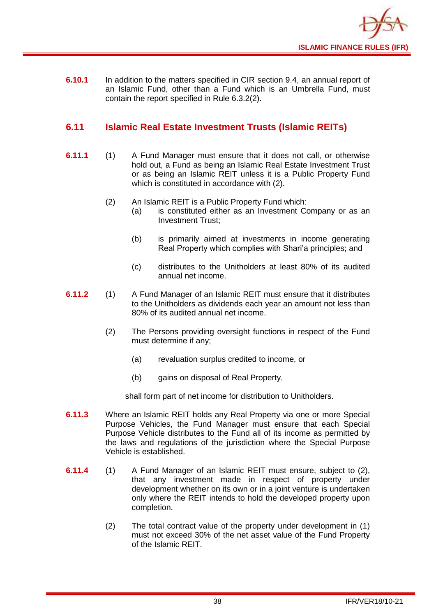![](_page_40_Picture_0.jpeg)

**6.10.1** In addition to the matters specified in CIR section 9.4, an annual report of an Islamic Fund, other than a Fund which is an [Umbrella](http://fsahandbook.info/FSA/glossary-html/handbook/Glossary/U?definition=G1222) Fund, must contain the report specified in Rule 6.3.2(2).

## <span id="page-40-0"></span>**6.11 Islamic Real Estate Investment Trusts (Islamic REITs)**

- **6.11.1** (1) A Fund Manager must ensure that it does not call, or otherwise hold out, a Fund as being an Islamic Real Estate Investment Trust or as being an Islamic REIT unless it is a Public Property Fund which is constituted in accordance with (2).
	- (2) An Islamic REIT is a Public Property Fund which:
		- (a) is constituted either as an Investment Company or as an Investment Trust;
		- (b) is primarily aimed at investments in income generating Real Property which complies with Shari'a principles; and
		- (c) distributes to the Unitholders at least 80% of its audited annual net income.
- **6.11.2** (1) A Fund Manager of an Islamic REIT must ensure that it distributes to the Unitholders as dividends each year an amount not less than 80% of its audited annual net income.
	- (2) The Persons providing oversight functions in respect of the Fund must determine if any;
		- (a) revaluation surplus credited to income, or
		- (b) gains on disposal of Real Property,

shall form part of net income for distribution to Unitholders.

- **6.11.3** Where an Islamic REIT holds any Real Property via one or more Special Purpose Vehicles, the Fund Manager must ensure that each Special Purpose Vehicle distributes to the Fund all of its income as permitted by the laws and regulations of the jurisdiction where the Special Purpose Vehicle is established.
- **6.11.4** (1) A Fund Manager of an Islamic REIT must ensure, subject to (2), that any investment made in respect of property under development whether on its own or in a joint venture is undertaken only where the REIT intends to hold the developed property upon completion.
	- (2) The total contract value of the property under development in (1) must not exceed 30% of the net asset value of the Fund Property of the Islamic REIT.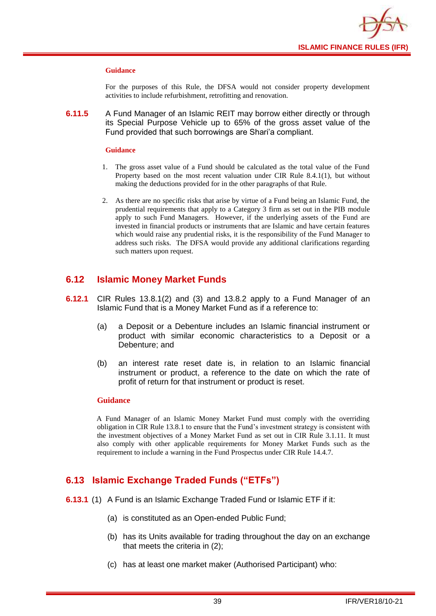![](_page_41_Picture_0.jpeg)

#### **Guidance**

For the purposes of this Rule, the DFSA would not consider property development activities to include refurbishment, retrofitting and renovation.

**6.11.5** A Fund Manager of an Islamic REIT may borrow either directly or through its Special Purpose Vehicle up to 65% of the gross asset value of the Fund provided that such borrowings are Shari'a compliant.

#### **Guidance**

- 1. The gross asset value of a Fund should be calculated as the total value of the Fund Property based on the most recent valuation under CIR Rule 8.4.1(1), but without making the deductions provided for in the other paragraphs of that Rule.
- 2. As there are no specific risks that arise by virtue of a Fund being an Islamic Fund, the prudential requirements that apply to a Category 3 firm as set out in the PIB module apply to such Fund Managers. However, if the underlying assets of the Fund are invested in financial products or instruments that are Islamic and have certain features which would raise any prudential risks, it is the responsibility of the Fund Manager to address such risks. The DFSA would provide any additional clarifications regarding such matters upon request.

## <span id="page-41-0"></span>**6.12 Islamic Money Market Funds**

- **6.12.1** CIR Rules 13.8.1(2) and (3) and 13.8.2 apply to a Fund Manager of an Islamic Fund that is a Money Market Fund as if a reference to:
	- (a) a Deposit or a Debenture includes an Islamic financial instrument or product with similar economic characteristics to a Deposit or a Debenture; and
	- (b) an interest rate reset date is, in relation to an Islamic financial instrument or product, a reference to the date on which the rate of profit of return for that instrument or product is reset.

#### **Guidance**

A Fund Manager of an Islamic Money Market Fund must comply with the overriding obligation in CIR Rule 13.8.1 to ensure that the Fund's investment strategy is consistent with the investment objectives of a Money Market Fund as set out in CIR Rule 3.1.11. It must also comply with other applicable requirements for Money Market Funds such as the requirement to include a warning in the Fund Prospectus under CIR Rule 14.4.7.

## <span id="page-41-1"></span>**6.13 Islamic Exchange Traded Funds ("ETFs")**

- **6.13.1** (1) A Fund is an Islamic Exchange Traded Fund or Islamic ETF if it:
	- (a) is constituted as an Open-ended Public Fund;
	- (b) has its Units available for trading throughout the day on an exchange that meets the criteria in (2);
	- (c) has at least one market maker (Authorised Participant) who: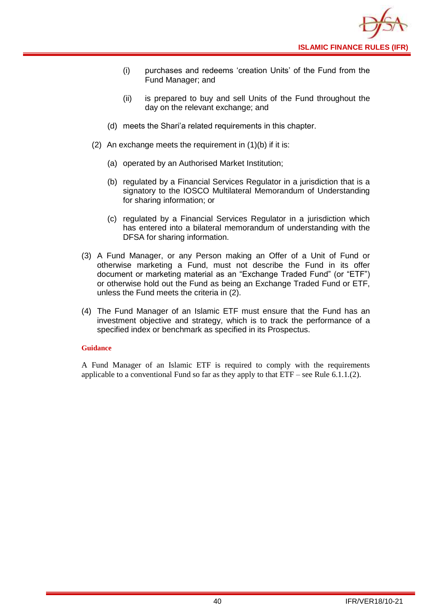![](_page_42_Picture_0.jpeg)

- (i) purchases and redeems 'creation Units' of the Fund from the Fund Manager; and
- (ii) is prepared to buy and sell Units of the Fund throughout the day on the relevant exchange; and
- (d) meets the Shari'a related requirements in this chapter.
- (2) An exchange meets the requirement in (1)(b) if it is:
	- (a) operated by an Authorised Market Institution;
	- (b) regulated by a Financial Services Regulator in a jurisdiction that is a signatory to the IOSCO Multilateral Memorandum of Understanding for sharing information; or
	- (c) regulated by a Financial Services Regulator in a jurisdiction which has entered into a bilateral memorandum of understanding with the DFSA for sharing information.
- (3) A Fund Manager, or any Person making an Offer of a Unit of Fund or otherwise marketing a Fund, must not describe the Fund in its offer document or marketing material as an "Exchange Traded Fund" (or "ETF") or otherwise hold out the Fund as being an Exchange Traded Fund or ETF, unless the Fund meets the criteria in (2).
- (4) The Fund Manager of an Islamic ETF must ensure that the Fund has an investment objective and strategy, which is to track the performance of a specified index or benchmark as specified in its Prospectus.

#### **Guidance**

A Fund Manager of an Islamic ETF is required to comply with the requirements applicable to a conventional Fund so far as they apply to that  $ETF$  – see Rule 6.1.1.(2).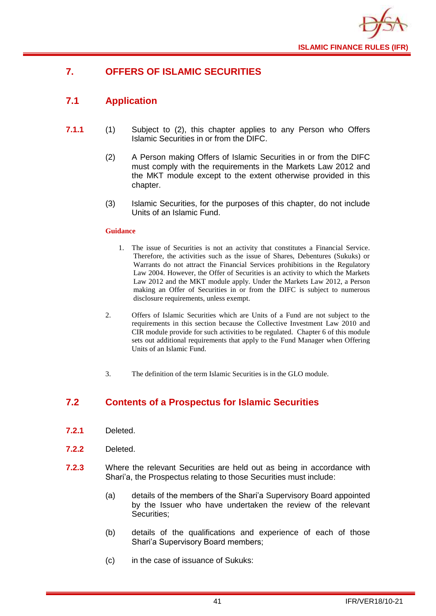![](_page_43_Picture_0.jpeg)

## <span id="page-43-0"></span>**7. OFFERS OF ISLAMIC SECURITIES**

## <span id="page-43-1"></span>**7.1 Application**

- **7.1.1** (1) Subject to (2), this chapter applies to any Person who Offers Islamic Securities in or from the DIFC.
	- (2) A Person making Offers of Islamic Securities in or from the DIFC must comply with the requirements in the Markets Law 2012 and the MKT module except to the extent otherwise provided in this chapter.
	- (3) Islamic Securities, for the purposes of this chapter, do not include Units of an Islamic Fund.

#### **Guidance**

- 1. The issue of Securities is not an activity that constitutes a Financial Service. Therefore, the activities such as the issue of Shares, Debentures (Sukuks) or Warrants do not attract the Financial Services prohibitions in the Regulatory Law 2004. However, the Offer of Securities is an activity to which the Markets Law 2012 and the MKT module apply. Under the Markets Law 2012, a Person making an Offer of Securities in or from the DIFC is subject to numerous disclosure requirements, unless exempt.
- 2. Offers of Islamic Securities which are Units of a Fund are not subject to the requirements in this section because the Collective Investment Law 2010 and CIR module provide for such activities to be regulated. Chapter 6 of this module sets out additional requirements that apply to the Fund Manager when Offering Units of an Islamic Fund.
- 3. The definition of the term Islamic Securities is in the GLO module.

## <span id="page-43-2"></span>**7.2 Contents of a Prospectus for Islamic Securities**

- **7.2.1** Deleted.
- **7.2.2** Deleted.
- **7.2.3** Where the relevant Securities are held out as being in accordance with Shari'a, the Prospectus relating to those Securities must include:
	- (a) details of the members of the Shari'a Supervisory Board appointed by the Issuer who have undertaken the review of the relevant Securities;
	- (b) details of the qualifications and experience of each of those Shari'a Supervisory Board members;
	- (c) in the case of issuance of Sukuks: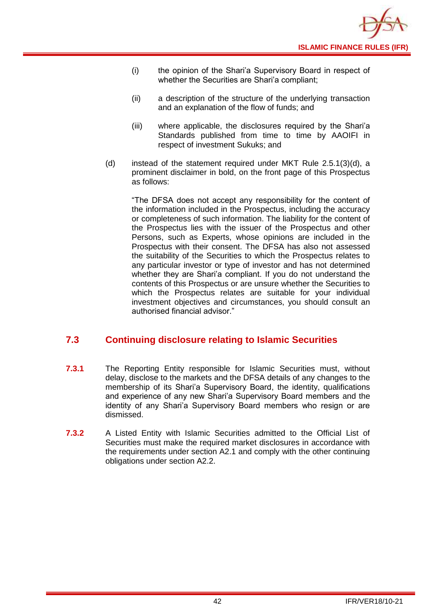- (i) the opinion of the Shari'a Supervisory Board in respect of whether the Securities are Shari'a compliant;
- (ii) a description of the structure of the underlying transaction and an explanation of the flow of funds; and
- (iii) where applicable, the disclosures required by the Shari'a Standards published from time to time by AAOIFI in respect of investment Sukuks; and
- (d) instead of the statement required under MKT Rule 2.5.1(3)(d), a prominent disclaimer in bold, on the front page of this Prospectus as follows:

"The DFSA does not accept any responsibility for the content of the information included in the Prospectus, including the accuracy or completeness of such information. The liability for the content of the Prospectus lies with the issuer of the Prospectus and other Persons, such as Experts, whose opinions are included in the Prospectus with their consent. The DFSA has also not assessed the suitability of the Securities to which the Prospectus relates to any particular investor or type of investor and has not determined whether they are Shari'a compliant. If you do not understand the contents of this Prospectus or are unsure whether the Securities to which the Prospectus relates are suitable for your individual investment objectives and circumstances, you should consult an authorised financial advisor."

## <span id="page-44-0"></span>**7.3 Continuing disclosure relating to Islamic Securities**

- **7.3.1** The Reporting Entity responsible for Islamic Securities must, without delay, disclose to the markets and the DFSA details of any changes to the membership of its Shari'a Supervisory Board, the identity, qualifications and experience of any new Shari'a Supervisory Board members and the identity of any Shari'a Supervisory Board members who resign or are dismissed.
- **7.3.2** A Listed Entity with Islamic Securities admitted to the Official List of Securities must make the required market disclosures in accordance with the requirements under section A2.1 and comply with the other continuing obligations under section A2.2.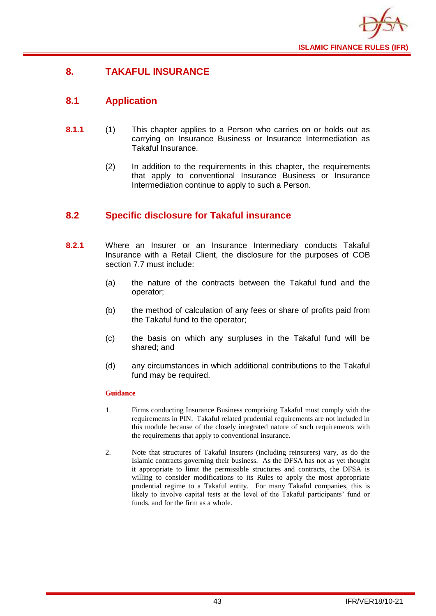![](_page_45_Picture_0.jpeg)

## <span id="page-45-0"></span>**8. TAKAFUL INSURANCE**

## <span id="page-45-1"></span>**8.1 Application**

- **8.1.1** (1) This chapter applies to a Person who carries on or holds out as carrying on Insurance Business or Insurance Intermediation as Takaful Insurance.
	- (2) In addition to the requirements in this chapter, the requirements that apply to conventional Insurance Business or Insurance Intermediation continue to apply to such a Person.

## <span id="page-45-2"></span>**8.2 Specific disclosure for Takaful insurance**

- **8.2.1** Where an Insurer or an Insurance Intermediary conducts Takaful Insurance with a Retail Client, the disclosure for the purposes of COB section 7.7 must include:
	- (a) the nature of the contracts between the Takaful fund and the operator;
	- (b) the method of calculation of any fees or share of profits paid from the Takaful fund to the operator;
	- (c) the basis on which any surpluses in the Takaful fund will be shared; and
	- (d) any circumstances in which additional contributions to the Takaful fund may be required.

- 1. Firms conducting Insurance Business comprising Takaful must comply with the requirements in PIN. Takaful related prudential requirements are not included in this module because of the closely integrated nature of such requirements with the requirements that apply to conventional insurance.
- 2. Note that structures of Takaful Insurers (including reinsurers) vary, as do the Islamic contracts governing their business. As the DFSA has not as yet thought it appropriate to limit the permissible structures and contracts, the DFSA is willing to consider modifications to its Rules to apply the most appropriate prudential regime to a Takaful entity. For many Takaful companies, this is likely to involve capital tests at the level of the Takaful participants' fund or funds, and for the firm as a whole.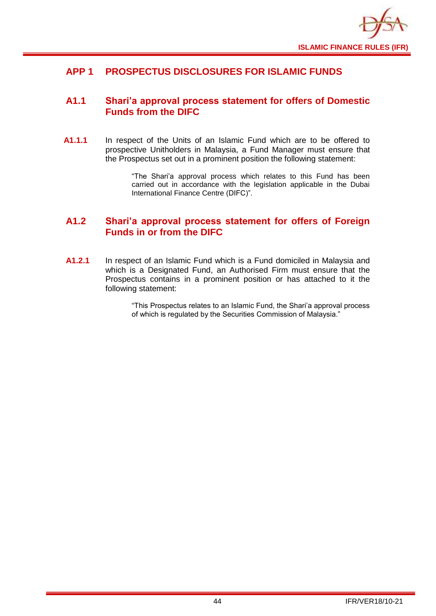![](_page_46_Picture_0.jpeg)

## <span id="page-46-0"></span>**APP 1 PROSPECTUS DISCLOSURES FOR ISLAMIC FUNDS**

## <span id="page-46-1"></span>**A1.1 Shari'a approval process statement for offers of Domestic Funds from the DIFC**

**A1.1.1** In respect of the Units of an Islamic Fund which are to be offered to prospective Unitholders in Malaysia, a Fund Manager must ensure that the Prospectus set out in a prominent position the following statement:

> "The Shari'a approval process which relates to this Fund has been carried out in accordance with the legislation applicable in the Dubai International Finance Centre (DIFC)".

## <span id="page-46-2"></span>**A1.2 Shari'a approval process statement for offers of Foreign Funds in or from the DIFC**

**A1.2.1** In respect of an Islamic Fund which is a Fund domiciled in Malaysia and which is a Designated Fund, an Authorised Firm must ensure that the Prospectus contains in a prominent position or has attached to it the following statement:

> "This Prospectus relates to an Islamic Fund, the Shari'a approval process of which is regulated by the Securities Commission of Malaysia."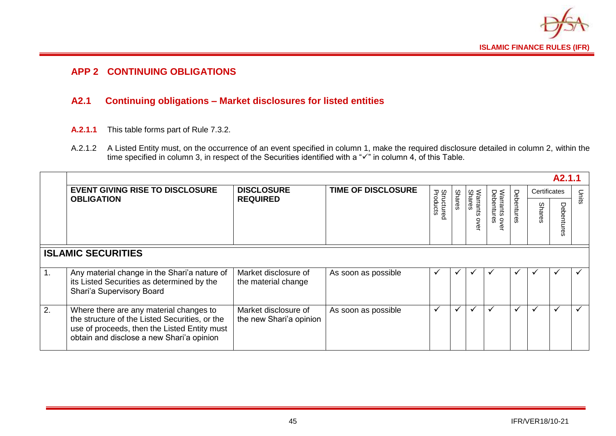![](_page_47_Picture_0.jpeg)

## **APP 2 CONTINUING OBLIGATIONS**

## **A2.1 Continuing obligations – Market disclosures for listed entities**

- **A.2.1.1** This table forms part of Rule 7.3.2.
- A.2.1.2 A Listed Entity must, on the occurrence of an event specified in column 1, make the required disclosure detailed in column 2, within the time specified in column 3, in respect of the Securities identified with a "✓" in column 4, of this Table.

<span id="page-47-1"></span><span id="page-47-0"></span>

|    | A <sub>2.1.1</sub>                                                                                                                                                                     |                                                 |                           |                               |               |                                 |                                  |              |               |          |              |
|----|----------------------------------------------------------------------------------------------------------------------------------------------------------------------------------------|-------------------------------------------------|---------------------------|-------------------------------|---------------|---------------------------------|----------------------------------|--------------|---------------|----------|--------------|
|    | <b>EVENT GIVING RISE TO DISCLOSURE</b><br><b>OBLIGATION</b>                                                                                                                            | <b>DISCLOSURE</b><br><b>REQUIRED</b>            | <b>TIME OF DISCLOSURE</b> | <b>Structured</b><br>Products |               |                                 |                                  |              | Certificates  |          | Units        |
|    |                                                                                                                                                                                        |                                                 |                           |                               | <b>Shares</b> | <b>Shares</b><br>rrants<br>over | Warrants o<br>Debentures<br>over | Debentures   | <b>Shares</b> | Deb<br>Ō |              |
|    | <b>ISLAMIC SECURITIES</b>                                                                                                                                                              |                                                 |                           |                               |               |                                 |                                  |              |               |          |              |
| 1. | Any material change in the Shari'a nature of<br>its Listed Securities as determined by the<br>Shari'a Supervisory Board                                                                | Market disclosure of<br>the material change     | As soon as possible       | ✔                             | ✔             |                                 | v                                | $\checkmark$ | ✔             | ✔        | ✔            |
| 2. | Where there are any material changes to<br>the structure of the Listed Securities, or the<br>use of proceeds, then the Listed Entity must<br>obtain and disclose a new Shari'a opinion | Market disclosure of<br>the new Shari'a opinion | As soon as possible       | $\checkmark$                  | ✔             | $\check{ }$                     | ✓                                | ✔            | $\checkmark$  | ✓        | $\checkmark$ |